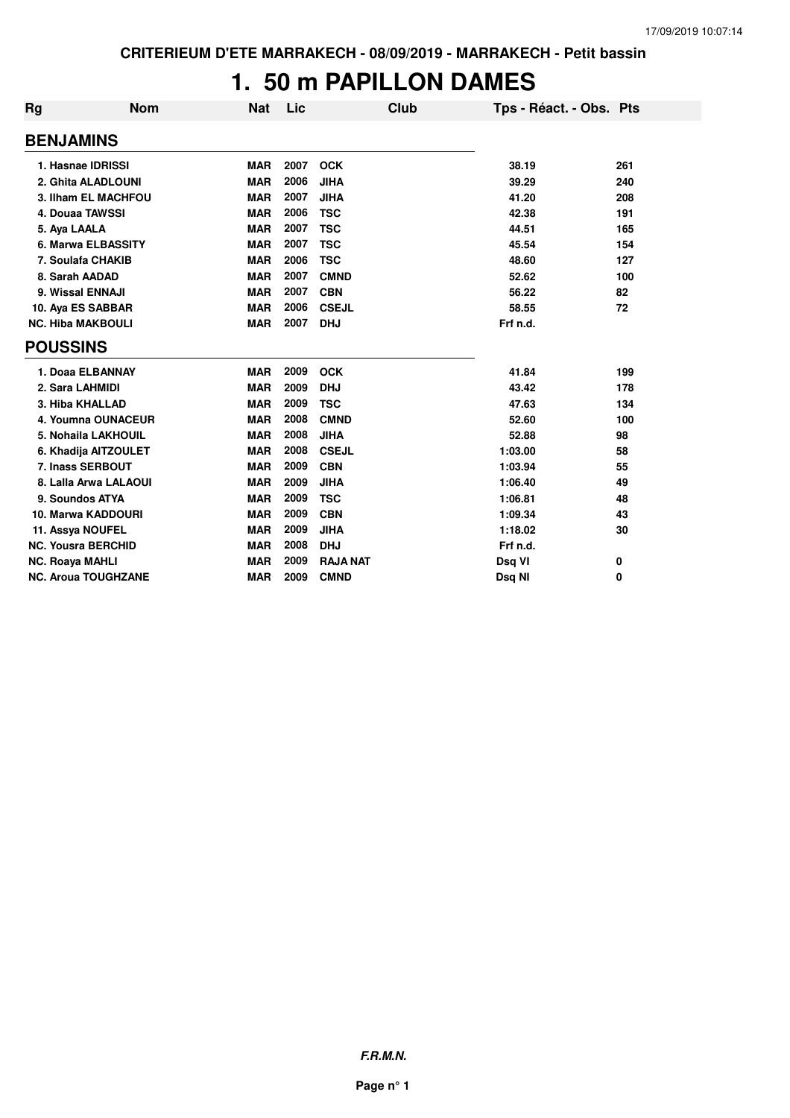### **1. 50 m PAPILLON DAMES**

| <b>Rg</b>                 | <b>Nom</b>                 | <b>Nat</b> | Lic  | Club            | Tps - Réact. - Obs. Pts |     |
|---------------------------|----------------------------|------------|------|-----------------|-------------------------|-----|
| <b>BENJAMINS</b>          |                            |            |      |                 |                         |     |
| 1. Hasnae IDRISSI         |                            | <b>MAR</b> | 2007 | <b>OCK</b>      | 38.19                   | 261 |
|                           | 2. Ghita ALADLOUNI         | <b>MAR</b> | 2006 | <b>JIHA</b>     | 39.29                   | 240 |
|                           | 3. Ilham EL MACHFOU        | <b>MAR</b> | 2007 | <b>JIHA</b>     | 41.20                   | 208 |
| 4. Douaa TAWSSI           |                            | <b>MAR</b> | 2006 | <b>TSC</b>      | 42.38                   | 191 |
| 5. Aya LAALA              |                            | <b>MAR</b> | 2007 | <b>TSC</b>      | 44.51                   | 165 |
|                           | 6. Marwa ELBASSITY         | <b>MAR</b> | 2007 | <b>TSC</b>      | 45.54                   | 154 |
| 7. Soulafa CHAKIB         |                            | <b>MAR</b> | 2006 | <b>TSC</b>      | 48.60                   | 127 |
| 8. Sarah AADAD            |                            | <b>MAR</b> | 2007 | <b>CMND</b>     | 52.62                   | 100 |
| 9. Wissal ENNAJI          |                            | <b>MAR</b> | 2007 | <b>CBN</b>      | 56.22                   | 82  |
| 10. Aya ES SABBAR         |                            | <b>MAR</b> | 2006 | <b>CSEJL</b>    | 58.55                   | 72  |
| <b>NC. Hiba MAKBOULI</b>  |                            | <b>MAR</b> | 2007 | <b>DHJ</b>      | Frf n.d.                |     |
| <b>POUSSINS</b>           |                            |            |      |                 |                         |     |
| 1. Doaa ELBANNAY          |                            | <b>MAR</b> | 2009 | <b>OCK</b>      | 41.84                   | 199 |
| 2. Sara LAHMIDI           |                            | <b>MAR</b> | 2009 | <b>DHJ</b>      | 43.42                   | 178 |
| 3. Hiba KHALLAD           |                            | <b>MAR</b> | 2009 | <b>TSC</b>      | 47.63                   | 134 |
|                           | 4. Youmna OUNACEUR         | <b>MAR</b> | 2008 | <b>CMND</b>     | 52.60                   | 100 |
|                           | 5. Nohaila LAKHOUIL        | <b>MAR</b> | 2008 | <b>JIHA</b>     | 52.88                   | 98  |
|                           | 6. Khadija AITZOULET       | <b>MAR</b> | 2008 | <b>CSEJL</b>    | 1:03.00                 | 58  |
| 7. Inass SERBOUT          |                            | <b>MAR</b> | 2009 | <b>CBN</b>      | 1:03.94                 | 55  |
|                           | 8. Lalla Arwa LALAOUI      | <b>MAR</b> | 2009 | <b>JIHA</b>     | 1:06.40                 | 49  |
| 9. Soundos ATYA           |                            | <b>MAR</b> | 2009 | <b>TSC</b>      | 1:06.81                 | 48  |
| 10. Marwa KADDOURI        |                            | <b>MAR</b> | 2009 | <b>CBN</b>      | 1:09.34                 | 43  |
| 11. Assya NOUFEL          |                            | <b>MAR</b> | 2009 | <b>JIHA</b>     | 1:18.02                 | 30  |
| <b>NC. Yousra BERCHID</b> |                            | <b>MAR</b> | 2008 | <b>DHJ</b>      | Frf n.d.                |     |
| <b>NC. Roaya MAHLI</b>    |                            | <b>MAR</b> | 2009 | <b>RAJA NAT</b> | Dsq VI                  | 0   |
|                           | <b>NC. Aroua TOUGHZANE</b> | <b>MAR</b> | 2009 | <b>CMND</b>     | Dsg NI                  | 0   |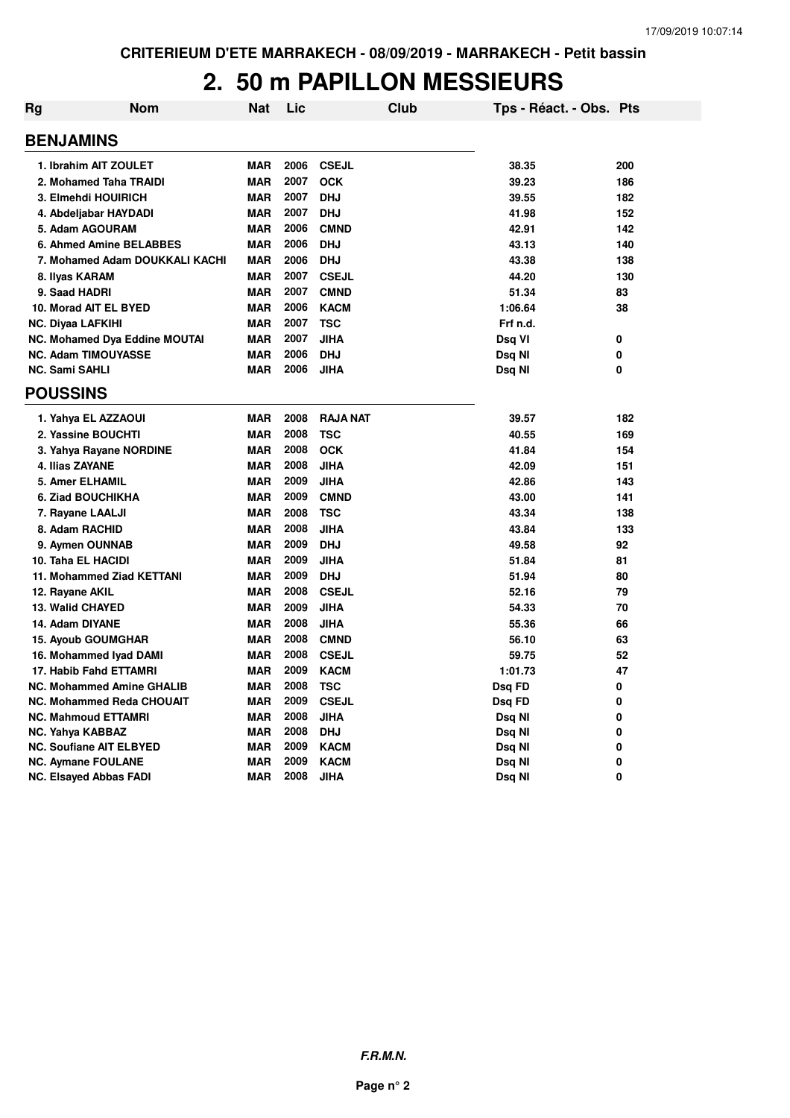### **2. 50 m PAPILLON MESSIEURS**

| Rg | <b>Nom</b>                           | <b>Nat</b> | Lic  |                 | Club | Tps - Réact. - Obs. Pts |     |
|----|--------------------------------------|------------|------|-----------------|------|-------------------------|-----|
|    | <b>BENJAMINS</b>                     |            |      |                 |      |                         |     |
|    | 1. Ibrahim AIT ZOULET                | <b>MAR</b> | 2006 | <b>CSEJL</b>    |      | 38.35                   | 200 |
|    | 2. Mohamed Taha TRAIDI               | <b>MAR</b> | 2007 | <b>OCK</b>      |      | 39.23                   | 186 |
|    | 3. Elmehdi HOUIRICH                  | <b>MAR</b> | 2007 | <b>DHJ</b>      |      | 39.55                   | 182 |
|    | 4. Abdeljabar HAYDADI                | <b>MAR</b> | 2007 | <b>DHJ</b>      |      | 41.98                   | 152 |
|    | 5. Adam AGOURAM                      | <b>MAR</b> | 2006 | <b>CMND</b>     |      | 42.91                   | 142 |
|    | 6. Ahmed Amine BELABBES              | <b>MAR</b> | 2006 | <b>DHJ</b>      |      | 43.13                   | 140 |
|    | 7. Mohamed Adam DOUKKALI KACHI       | MAR        | 2006 | <b>DHJ</b>      |      | 43.38                   | 138 |
|    | 8. Ilyas KARAM                       | <b>MAR</b> | 2007 | <b>CSEJL</b>    |      | 44.20                   | 130 |
|    | 9. Saad HADRI                        | <b>MAR</b> | 2007 | <b>CMND</b>     |      | 51.34                   | 83  |
|    | 10. Morad AIT EL BYED                | <b>MAR</b> | 2006 | <b>KACM</b>     |      | 1:06.64                 | 38  |
|    | <b>NC. Diyaa LAFKIHI</b>             | <b>MAR</b> | 2007 | <b>TSC</b>      |      | Frf n.d.                |     |
|    | <b>NC. Mohamed Dya Eddine MOUTAI</b> | <b>MAR</b> | 2007 | <b>JIHA</b>     |      | Dsq VI                  | 0   |
|    | <b>NC. Adam TIMOUYASSE</b>           | <b>MAR</b> | 2006 | <b>DHJ</b>      |      | Dsq NI                  | 0   |
|    | <b>NC. Sami SAHLI</b>                | <b>MAR</b> | 2006 | <b>JIHA</b>     |      | Dsq NI                  | 0   |
|    | <b>POUSSINS</b>                      |            |      |                 |      |                         |     |
|    | 1. Yahya EL AZZAOUI                  | <b>MAR</b> | 2008 | <b>RAJA NAT</b> |      | 39.57                   | 182 |
|    | 2. Yassine BOUCHTI                   | <b>MAR</b> | 2008 | <b>TSC</b>      |      | 40.55                   | 169 |
|    | 3. Yahya Rayane NORDINE              | <b>MAR</b> | 2008 | <b>OCK</b>      |      | 41.84                   | 154 |
|    | 4. Ilias ZAYANE                      | <b>MAR</b> | 2008 | <b>JIHA</b>     |      | 42.09                   | 151 |
|    | 5. Amer ELHAMIL                      | <b>MAR</b> | 2009 | <b>JIHA</b>     |      | 42.86                   | 143 |
|    | 6. Ziad BOUCHIKHA                    | <b>MAR</b> | 2009 | <b>CMND</b>     |      | 43.00                   | 141 |
|    | 7. Rayane LAALJI                     | <b>MAR</b> | 2008 | <b>TSC</b>      |      | 43.34                   | 138 |
|    | 8. Adam RACHID                       | <b>MAR</b> | 2008 | <b>JIHA</b>     |      | 43.84                   | 133 |
|    | 9. Aymen OUNNAB                      | <b>MAR</b> | 2009 | <b>DHJ</b>      |      | 49.58                   | 92  |
|    | 10. Taha EL HACIDI                   | <b>MAR</b> | 2009 | <b>JIHA</b>     |      | 51.84                   | 81  |
|    | 11. Mohammed Ziad KETTANI            | <b>MAR</b> | 2009 | <b>DHJ</b>      |      | 51.94                   | 80  |
|    | 12. Rayane AKIL                      | <b>MAR</b> | 2008 | <b>CSEJL</b>    |      | 52.16                   | 79  |
|    | <b>13. Walid CHAYED</b>              | <b>MAR</b> | 2009 | <b>JIHA</b>     |      | 54.33                   | 70  |
|    | 14. Adam DIYANE                      | <b>MAR</b> | 2008 | <b>JIHA</b>     |      | 55.36                   | 66  |
|    | <b>15. Ayoub GOUMGHAR</b>            | <b>MAR</b> | 2008 | <b>CMND</b>     |      | 56.10                   | 63  |
|    | 16. Mohammed Iyad DAMI               | <b>MAR</b> | 2008 | <b>CSEJL</b>    |      | 59.75                   | 52  |
|    | 17. Habib Fahd ETTAMRI               | <b>MAR</b> | 2009 | <b>KACM</b>     |      | 1:01.73                 | 47  |
|    | <b>NC. Mohammed Amine GHALIB</b>     | <b>MAR</b> | 2008 | <b>TSC</b>      |      | Dsq FD                  | 0   |
|    | <b>NC. Mohammed Reda CHOUAIT</b>     | <b>MAR</b> | 2009 | <b>CSEJL</b>    |      | Dsq FD                  | 0   |
|    | <b>NC. Mahmoud ETTAMRI</b>           | <b>MAR</b> | 2008 | <b>JIHA</b>     |      | Dsq NI                  | 0   |
|    | NC. Yahya KABBAZ                     | <b>MAR</b> | 2008 | <b>DHJ</b>      |      | Dsq NI                  | 0   |
|    | <b>NC. Soufiane AIT ELBYED</b>       | <b>MAR</b> | 2009 | <b>KACM</b>     |      | Dsq Nl                  | 0   |
|    | <b>NC. Aymane FOULANE</b>            | <b>MAR</b> | 2009 | <b>KACM</b>     |      | Dsq Nl                  | 0   |
|    | <b>NC. Elsayed Abbas FADI</b>        | MAR        | 2008 | JIHA            |      | Dsq Nl                  | 0   |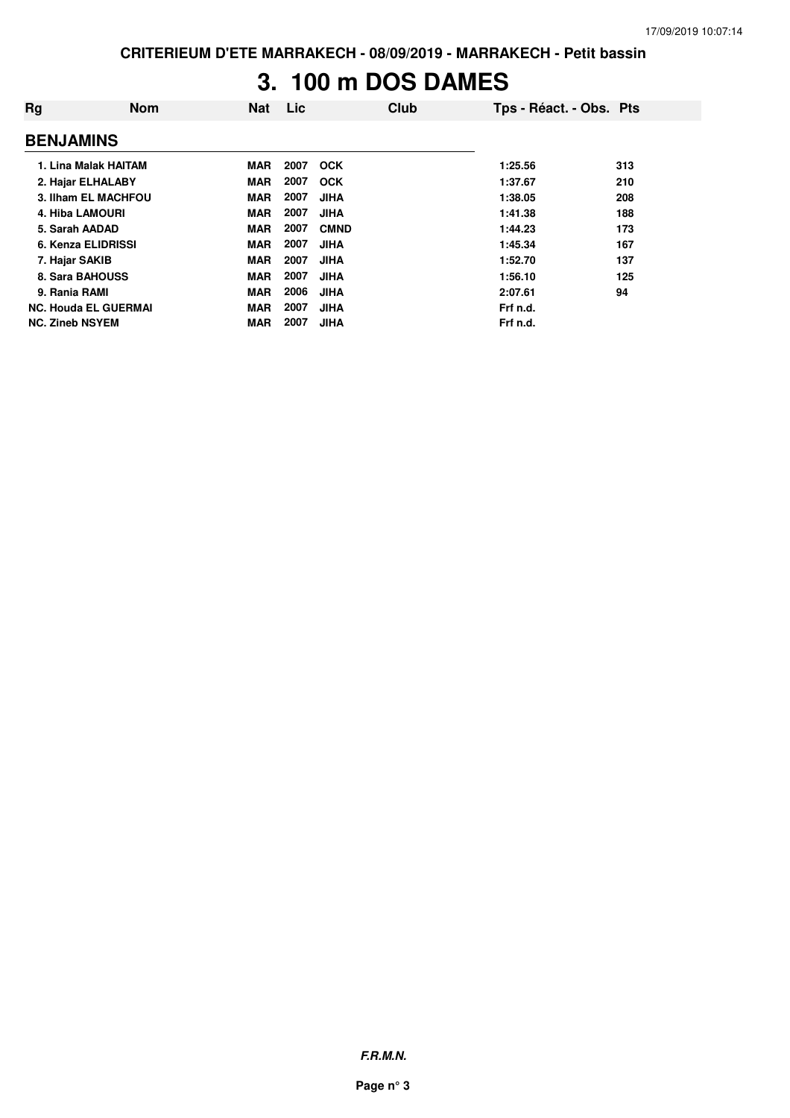# **3. 100 m DOS DAMES**

| Rg                     | <b>Nom</b>                  | <b>Nat</b> | Lic  | Club        | Tps - Réact. - Obs. Pts |     |
|------------------------|-----------------------------|------------|------|-------------|-------------------------|-----|
| <b>BENJAMINS</b>       |                             |            |      |             |                         |     |
|                        | 1. Lina Malak HAITAM        | MAR        | 2007 | <b>OCK</b>  | 1:25.56                 | 313 |
| 2. Hajar ELHALABY      |                             | <b>MAR</b> | 2007 | <b>OCK</b>  | 1:37.67                 | 210 |
|                        | 3. Ilham EL MACHFOU         | <b>MAR</b> | 2007 | <b>JIHA</b> | 1:38.05                 | 208 |
| <b>4. Hiba LAMOURI</b> |                             | <b>MAR</b> | 2007 | <b>JIHA</b> | 1:41.38                 | 188 |
| 5. Sarah AADAD         |                             | <b>MAR</b> | 2007 | <b>CMND</b> | 1:44.23                 | 173 |
| 6. Kenza ELIDRISSI     |                             | <b>MAR</b> | 2007 | <b>JIHA</b> | 1:45.34                 | 167 |
| 7. Hajar SAKIB         |                             | <b>MAR</b> | 2007 | <b>JIHA</b> | 1:52.70                 | 137 |
| 8. Sara BAHOUSS        |                             | <b>MAR</b> | 2007 | <b>JIHA</b> | 1:56.10                 | 125 |
| 9. Rania RAMI          |                             | <b>MAR</b> | 2006 | <b>JIHA</b> | 2:07.61                 | 94  |
|                        | <b>NC. Houda EL GUERMAI</b> | <b>MAR</b> | 2007 | <b>JIHA</b> | Frf n.d.                |     |
| <b>NC. Zineb NSYEM</b> |                             | <b>MAR</b> | 2007 | <b>JIHA</b> | Frf n.d.                |     |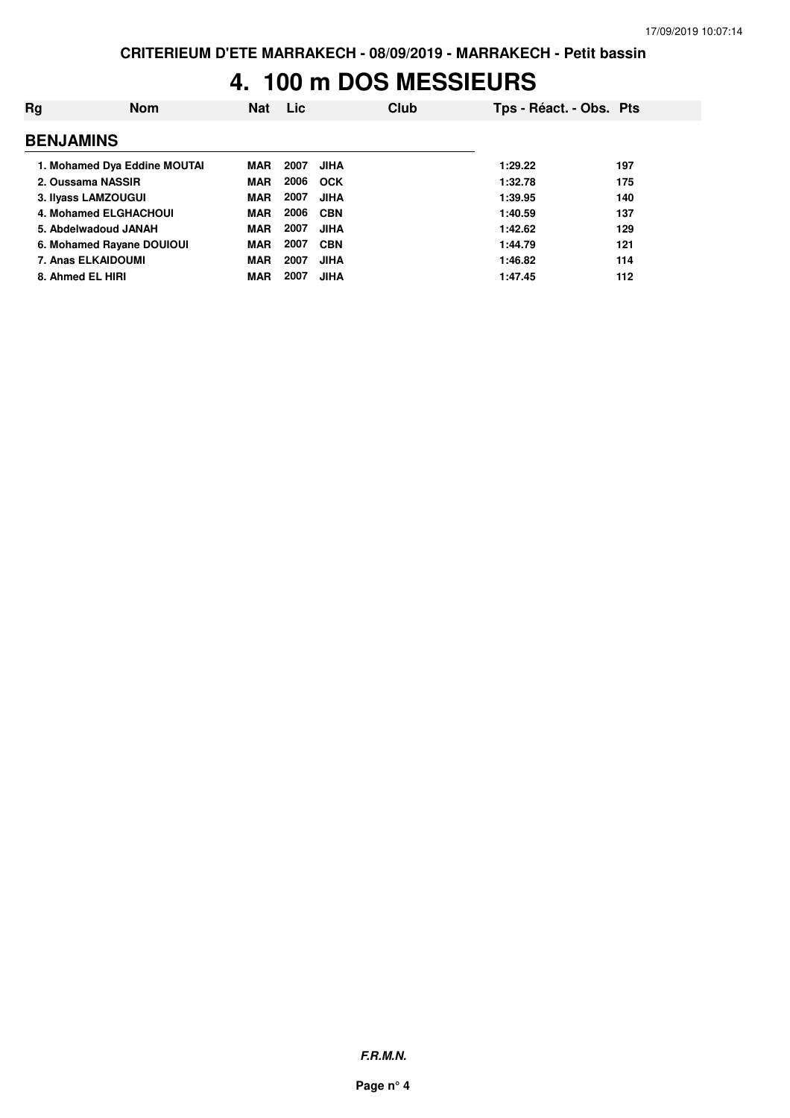## **4. 100 m DOS MESSIEURS**

| Rg                           | <b>Nom</b>                   | Nat        | Lic  |             | Club | Tps - Réact. - Obs. Pts |     |
|------------------------------|------------------------------|------------|------|-------------|------|-------------------------|-----|
| <b>BENJAMINS</b>             |                              |            |      |             |      |                         |     |
|                              | 1. Mohamed Dya Eddine MOUTAI | MAR        | 2007 | <b>JIHA</b> |      | 1:29.22                 | 197 |
| 2. Oussama NASSIR            |                              | <b>MAR</b> | 2006 | <b>OCK</b>  |      | 1:32.78                 | 175 |
| 3. Ilyass LAMZOUGUI          |                              | <b>MAR</b> | 2007 | <b>JIHA</b> |      | 1:39.95                 | 140 |
| <b>4. Mohamed ELGHACHOUI</b> |                              | <b>MAR</b> | 2006 | <b>CBN</b>  |      | 1:40.59                 | 137 |
| 5. Abdelwadoud JANAH         |                              | <b>MAR</b> | 2007 | <b>JIHA</b> |      | 1:42.62                 | 129 |
| 6. Mohamed Rayane DOUIOUI    |                              | <b>MAR</b> | 2007 | <b>CBN</b>  |      | 1:44.79                 | 121 |
| 7. Anas ELKAIDOUMI           |                              | <b>MAR</b> | 2007 | <b>JIHA</b> |      | 1:46.82                 | 114 |
| 8. Ahmed EL HIRI             |                              | MAR        | 2007 | <b>JIHA</b> |      | 1:47.45                 | 112 |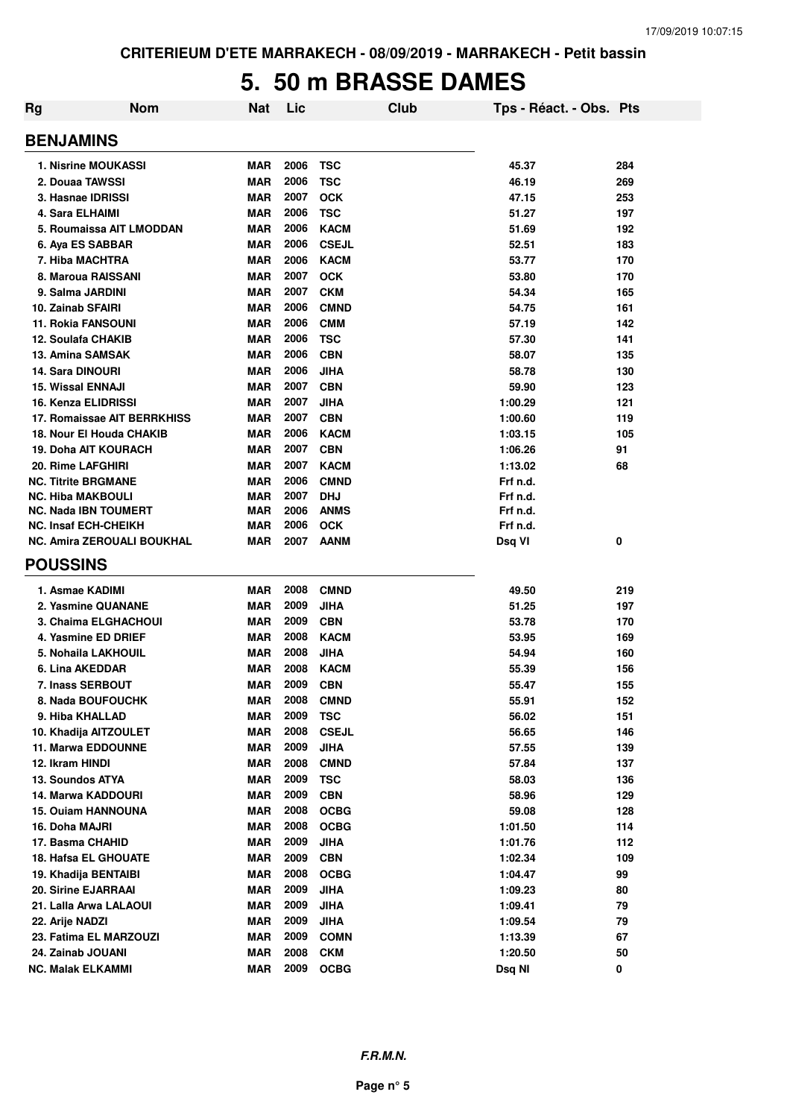### **5. 50 m BRASSE DAMES**

| Rg | <b>Nom</b>                        | Nat        | Lic  | Club         | Tps - Réact. - Obs. Pts |     |
|----|-----------------------------------|------------|------|--------------|-------------------------|-----|
|    | <b>BENJAMINS</b>                  |            |      |              |                         |     |
|    | <b>1. Nisrine MOUKASSI</b>        | MAR        | 2006 | <b>TSC</b>   | 45.37                   | 284 |
|    | 2. Douaa TAWSSI                   | <b>MAR</b> | 2006 | <b>TSC</b>   | 46.19                   | 269 |
|    | 3. Hasnae IDRISSI                 | <b>MAR</b> | 2007 | <b>OCK</b>   | 47.15                   | 253 |
|    | 4. Sara ELHAIMI                   | <b>MAR</b> | 2006 | <b>TSC</b>   | 51.27                   | 197 |
|    | 5. Roumaissa AIT LMODDAN          | <b>MAR</b> | 2006 | <b>KACM</b>  | 51.69                   | 192 |
|    | 6. Aya ES SABBAR                  | <b>MAR</b> | 2006 | <b>CSEJL</b> | 52.51                   | 183 |
|    | 7. Hiba MACHTRA                   | <b>MAR</b> | 2006 | <b>KACM</b>  | 53.77                   | 170 |
|    | 8. Maroua RAISSANI                | <b>MAR</b> | 2007 | <b>OCK</b>   | 53.80                   | 170 |
|    | 9. Salma JARDINI                  | <b>MAR</b> | 2007 | <b>CKM</b>   | 54.34                   | 165 |
|    | 10. Zainab SFAIRI                 | <b>MAR</b> | 2006 | <b>CMND</b>  | 54.75                   | 161 |
|    | <b>11. Rokia FANSOUNI</b>         | <b>MAR</b> | 2006 | <b>CMM</b>   | 57.19                   | 142 |
|    | 12. Soulafa CHAKIB                | <b>MAR</b> | 2006 | <b>TSC</b>   | 57.30                   | 141 |
|    | 13. Amina SAMSAK                  | <b>MAR</b> | 2006 | <b>CBN</b>   | 58.07                   | 135 |
|    | 14. Sara DINOURI                  | <b>MAR</b> | 2006 | <b>JIHA</b>  | 58.78                   | 130 |
|    | <b>15. Wissal ENNAJI</b>          | <b>MAR</b> | 2007 | <b>CBN</b>   | 59.90                   | 123 |
|    | 16. Kenza ELIDRISSI               | <b>MAR</b> | 2007 | <b>JIHA</b>  | 1:00.29                 | 121 |
|    | 17. Romaissae AIT BERRKHISS       | <b>MAR</b> | 2007 | <b>CBN</b>   | 1:00.60                 | 119 |
|    | 18. Nour El Houda CHAKIB          | <b>MAR</b> | 2006 | <b>KACM</b>  | 1:03.15                 | 105 |
|    | <b>19. Doha AIT KOURACH</b>       | <b>MAR</b> | 2007 | <b>CBN</b>   | 1:06.26                 | 91  |
|    | 20. Rime LAFGHIRI                 | <b>MAR</b> | 2007 | <b>KACM</b>  | 1:13.02                 | 68  |
|    | <b>NC. Titrite BRGMANE</b>        | MAR        | 2006 | <b>CMND</b>  | Frf n.d.                |     |
|    | <b>NC. Hiba MAKBOULI</b>          | <b>MAR</b> | 2007 | <b>DHJ</b>   | Frf n.d.                |     |
|    | <b>NC. Nada IBN TOUMERT</b>       | <b>MAR</b> | 2006 | <b>ANMS</b>  | Frf n.d.                |     |
|    | <b>NC. Insaf ECH-CHEIKH</b>       | <b>MAR</b> | 2006 | <b>OCK</b>   | Frf n.d.                |     |
|    | <b>NC. Amira ZEROUALI BOUKHAL</b> | MAR        | 2007 | <b>AANM</b>  | Dsq VI                  | 0   |
|    | <b>POUSSINS</b>                   |            |      |              |                         |     |
|    | 1. Asmae KADIMI                   | <b>MAR</b> | 2008 | <b>CMND</b>  | 49.50                   | 219 |
|    | 2. Yasmine QUANANE                | <b>MAR</b> | 2009 | JIHA         | 51.25                   | 197 |
|    | 3. Chaima ELGHACHOUI              | <b>MAR</b> | 2009 | <b>CBN</b>   | 53.78                   | 170 |
|    | 4. Yasmine ED DRIEF               | <b>MAR</b> | 2008 | <b>KACM</b>  | 53.95                   | 169 |
|    | 5. Nohaila LAKHOUIL               | <b>MAR</b> | 2008 | <b>JIHA</b>  | 54.94                   | 160 |
|    | 6. Lina AKEDDAR                   | <b>MAR</b> | 2008 | <b>KACM</b>  | 55.39                   | 156 |
|    | 7. Inass SERBOUT                  | <b>MAR</b> | 2009 | <b>CBN</b>   | 55.47                   | 155 |
|    | 8. Nada BOUFOUCHK                 | <b>MAR</b> | 2008 | <b>CMND</b>  | 55.91                   | 152 |
|    | 9. Hiba KHALLAD                   | <b>MAR</b> | 2009 | <b>TSC</b>   | 56.02                   | 151 |
|    | 10. Khadija AITZOULET             | <b>MAR</b> | 2008 | <b>CSEJL</b> | 56.65                   | 146 |
|    | <b>11. Marwa EDDOUNNE</b>         | <b>MAR</b> | 2009 | <b>JIHA</b>  | 57.55                   | 139 |
|    | 12. Ikram HINDI                   | <b>MAR</b> | 2008 | <b>CMND</b>  | 57.84                   | 137 |
|    | 13. Soundos ATYA                  | MAR        | 2009 | <b>TSC</b>   | 58.03                   | 136 |
|    | 14. Marwa KADDOURI                | <b>MAR</b> | 2009 | <b>CBN</b>   | 58.96                   | 129 |
|    | <b>15. Ouiam HANNOUNA</b>         | <b>MAR</b> | 2008 | <b>OCBG</b>  | 59.08                   | 128 |
|    | 16. Doha MAJRI                    | <b>MAR</b> | 2008 | <b>OCBG</b>  | 1:01.50                 | 114 |
|    | 17. Basma CHAHID                  | <b>MAR</b> | 2009 | <b>JIHA</b>  | 1:01.76                 | 112 |
|    | <b>18. Hafsa EL GHOUATE</b>       | <b>MAR</b> | 2009 | <b>CBN</b>   | 1:02.34                 | 109 |
|    | 19. Khadija BENTAIBI              | <b>MAR</b> | 2008 | <b>OCBG</b>  | 1:04.47                 | 99  |
|    | 20. Sirine EJARRAAI               | <b>MAR</b> | 2009 | <b>JIHA</b>  | 1:09.23                 | 80  |
|    | 21. Lalla Arwa LALAOUI            | <b>MAR</b> | 2009 | <b>JIHA</b>  | 1:09.41                 | 79  |
|    | 22. Arije NADZI                   | <b>MAR</b> | 2009 | <b>JIHA</b>  | 1:09.54                 | 79  |
|    | 23. Fatima EL MARZOUZI            | <b>MAR</b> | 2009 | <b>COMN</b>  | 1:13.39                 | 67  |
|    | 24. Zainab JOUANI                 | <b>MAR</b> | 2008 | <b>CKM</b>   | 1:20.50                 | 50  |
|    | <b>NC. Malak ELKAMMI</b>          | <b>MAR</b> | 2009 | <b>OCBG</b>  | Dsq NI                  | 0   |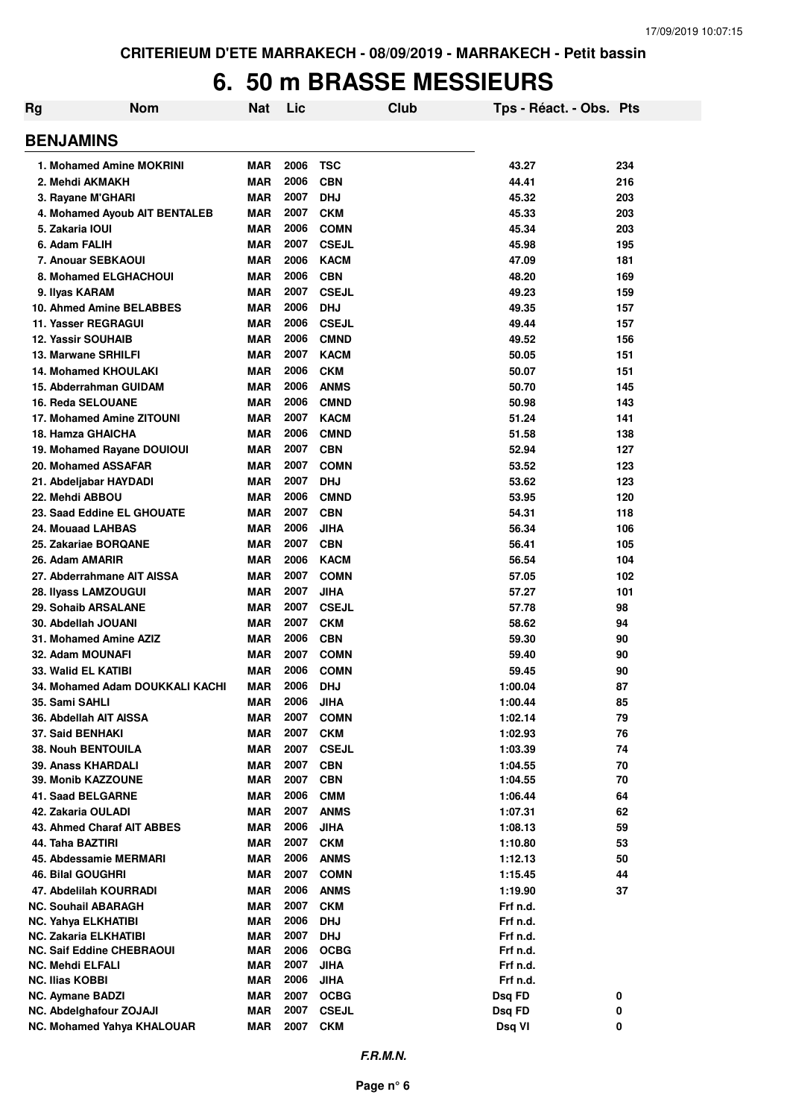### **6. 50 m BRASSE MESSIEURS**

| <b>Rg</b> | <b>Nom</b>                              | Nat                      | Lic          |                            | Club | Tps - Réact. - Obs. Pts |          |
|-----------|-----------------------------------------|--------------------------|--------------|----------------------------|------|-------------------------|----------|
|           | <b>BENJAMINS</b>                        |                          |              |                            |      |                         |          |
|           | 1. Mohamed Amine MOKRINI                | MAR                      | 2006         | <b>TSC</b>                 |      | 43.27                   | 234      |
|           | 2. Mehdi AKMAKH                         | <b>MAR</b>               | 2006         | <b>CBN</b>                 |      | 44.41                   | 216      |
|           | 3. Rayane M'GHARI                       | <b>MAR</b>               | 2007         | <b>DHJ</b>                 |      | 45.32                   | 203      |
|           | 4. Mohamed Ayoub AIT BENTALEB           | <b>MAR</b>               | 2007         | <b>CKM</b>                 |      | 45.33                   | 203      |
|           | 5. Zakaria IOUI                         | <b>MAR</b>               | 2006         | <b>COMN</b>                |      | 45.34                   | 203      |
|           | 6. Adam FALIH                           | <b>MAR</b>               | 2007         | <b>CSEJL</b>               |      | 45.98                   | 195      |
|           | 7. Anouar SEBKAOUI                      | MAR                      | 2006         | <b>KACM</b>                |      | 47.09                   | 181      |
|           | 8. Mohamed ELGHACHOUI                   | <b>MAR</b>               | 2006         | <b>CBN</b>                 |      | 48.20                   | 169      |
|           | 9. Ilyas KARAM                          | <b>MAR</b>               | 2007         | <b>CSEJL</b>               |      | 49.23                   | 159      |
|           | 10. Ahmed Amine BELABBES                | <b>MAR</b>               | 2006         | <b>DHJ</b>                 |      | 49.35                   | 157      |
|           | 11. Yasser REGRAGUI                     | <b>MAR</b>               | 2006         | <b>CSEJL</b>               |      | 49.44                   | 157      |
|           | <b>12. Yassir SOUHAIB</b>               | <b>MAR</b>               | 2006         | <b>CMND</b>                |      | 49.52                   | 156      |
|           | 13. Marwane SRHILFI                     | MAR                      | 2007         | <b>KACM</b>                |      | 50.05                   | 151      |
|           | <b>14. Mohamed KHOULAKI</b>             | MAR                      | 2006         | <b>CKM</b>                 |      | 50.07                   | 151      |
|           | 15. Abderrahman GUIDAM                  | MAR                      | 2006         | <b>ANMS</b>                |      | 50.70                   | 145      |
|           | <b>16. Reda SELOUANE</b>                | MAR                      | 2006         | <b>CMND</b>                |      | 50.98                   | 143      |
|           | 17. Mohamed Amine ZITOUNI               | MAR                      | 2007         | <b>KACM</b>                |      | 51.24                   | 141      |
|           | 18. Hamza GHAICHA                       | MAR                      | 2006         | <b>CMND</b>                |      | 51.58                   | 138      |
|           | 19. Mohamed Rayane DOUIOUI              | MAR                      | 2007         | <b>CBN</b>                 |      | 52.94                   | 127      |
|           | 20. Mohamed ASSAFAR                     | <b>MAR</b>               | 2007         | <b>COMN</b>                |      | 53.52                   | 123      |
|           | 21. Abdeljabar HAYDADI                  | <b>MAR</b>               | 2007         | <b>DHJ</b>                 |      | 53.62                   | 123      |
|           | 22. Mehdi ABBOU                         | <b>MAR</b>               | 2006         | <b>CMND</b>                |      | 53.95                   | 120      |
|           | 23. Saad Eddine EL GHOUATE              | MAR                      | 2007         | <b>CBN</b>                 |      | 54.31                   | 118      |
|           | 24. Mouaad LAHBAS                       | <b>MAR</b>               | 2006         | <b>JIHA</b>                |      | 56.34                   | 106      |
|           | 25. Zakariae BORQANE                    | MAR                      | 2007         | <b>CBN</b>                 |      | 56.41                   | 105      |
|           | 26. Adam AMARIR                         | <b>MAR</b>               | 2006         | <b>KACM</b>                |      | 56.54                   | 104      |
|           | 27. Abderrahmane AIT AISSA              | <b>MAR</b>               | 2007         | <b>COMN</b>                |      | 57.05                   | 102      |
|           | 28. Ilyass LAMZOUGUI                    | <b>MAR</b>               | 2007         | <b>JIHA</b>                |      | 57.27                   | 101      |
|           | 29. Sohaib ARSALANE                     | <b>MAR</b>               | 2007         | <b>CSEJL</b>               |      | 57.78                   | 98       |
|           | 30. Abdellah JOUANI                     | <b>MAR</b>               | 2007         | <b>CKM</b>                 |      | 58.62                   | 94       |
|           | 31. Mohamed Amine AZIZ                  | <b>MAR</b>               | 2006<br>2007 | <b>CBN</b>                 |      | 59.30                   | 90       |
|           | 32. Adam MOUNAFI<br>33. Walid EL KATIBI | <b>MAR</b><br><b>MAR</b> | 2006         | <b>COMN</b><br><b>COMN</b> |      | 59.40<br>59.45          | 90<br>90 |
|           | 34. Mohamed Adam DOUKKALI KACHI         | MAR                      | 2006         | <b>DHJ</b>                 |      | 1:00.04                 | 87       |
|           | 35. Sami SAHLI                          | <b>MAR</b>               | 2006         | <b>JIHA</b>                |      | 1:00.44                 | 85       |
|           | 36. Abdellah AIT AISSA                  | <b>MAR</b>               | 2007         | <b>COMN</b>                |      | 1:02.14                 | 79       |
|           | 37. Said BENHAKI                        | <b>MAR</b>               | 2007         | <b>CKM</b>                 |      | 1:02.93                 | 76       |
|           | <b>38. Nouh BENTOUILA</b>               | <b>MAR</b>               | 2007         | <b>CSEJL</b>               |      | 1:03.39                 | 74       |
|           | 39. Anass KHARDALI                      | MAR                      | 2007         | <b>CBN</b>                 |      | 1:04.55                 | 70       |
|           | 39. Monib KAZZOUNE                      | <b>MAR</b>               | 2007         | <b>CBN</b>                 |      | 1:04.55                 | 70       |
|           | 41. Saad BELGARNE                       | <b>MAR</b>               | 2006         | <b>CMM</b>                 |      | 1:06.44                 | 64       |
|           | 42. Zakaria OULADI                      | <b>MAR</b>               | 2007         | <b>ANMS</b>                |      | 1:07.31                 | 62       |
|           | 43. Ahmed Charaf AIT ABBES              | <b>MAR</b>               | 2006         | <b>JIHA</b>                |      | 1:08.13                 | 59       |
|           | 44. Taha BAZTIRI                        | <b>MAR</b>               | 2007         | <b>CKM</b>                 |      | 1:10.80                 | 53       |
|           | 45. Abdessamie MERMARI                  | <b>MAR</b>               | 2006         | <b>ANMS</b>                |      | 1:12.13                 | 50       |
|           | 46. Bilal GOUGHRI                       | <b>MAR</b>               | 2007         | <b>COMN</b>                |      | 1:15.45                 | 44       |
|           | 47. Abdelilah KOURRADI                  | <b>MAR</b>               | 2006         | <b>ANMS</b>                |      | 1:19.90                 | 37       |
|           | <b>NC. Souhail ABARAGH</b>              | <b>MAR</b>               | 2007         | <b>CKM</b>                 |      | Frf n.d.                |          |
|           | <b>NC. Yahya ELKHATIBI</b>              | <b>MAR</b>               | 2006         | <b>DHJ</b>                 |      | Frf n.d.                |          |
|           | <b>NC. Zakaria ELKHATIBI</b>            | MAR                      | 2007         | <b>DHJ</b>                 |      | Frf n.d.                |          |
|           | <b>NC. Saif Eddine CHEBRAOUI</b>        | <b>MAR</b>               | 2006         | <b>OCBG</b>                |      | Frf n.d.                |          |
|           | <b>NC. Mehdi ELFALI</b>                 | <b>MAR</b>               | 2007         | <b>JIHA</b>                |      | Frf n.d.                |          |
|           | <b>NC. Ilias KOBBI</b>                  | MAR                      | 2006         | <b>JIHA</b>                |      | Frf n.d.                |          |
|           | <b>NC. Aymane BADZI</b>                 | <b>MAR</b>               | 2007         | <b>OCBG</b>                |      | Dsq FD                  | 0        |
|           | NC. Abdelghafour ZOJAJI                 | <b>MAR</b>               | 2007         | <b>CSEJL</b>               |      | Dsq FD                  | 0        |
|           | NC. Mohamed Yahya KHALOUAR              | <b>MAR</b>               | 2007         | <b>CKM</b>                 |      | Dsq VI                  | 0        |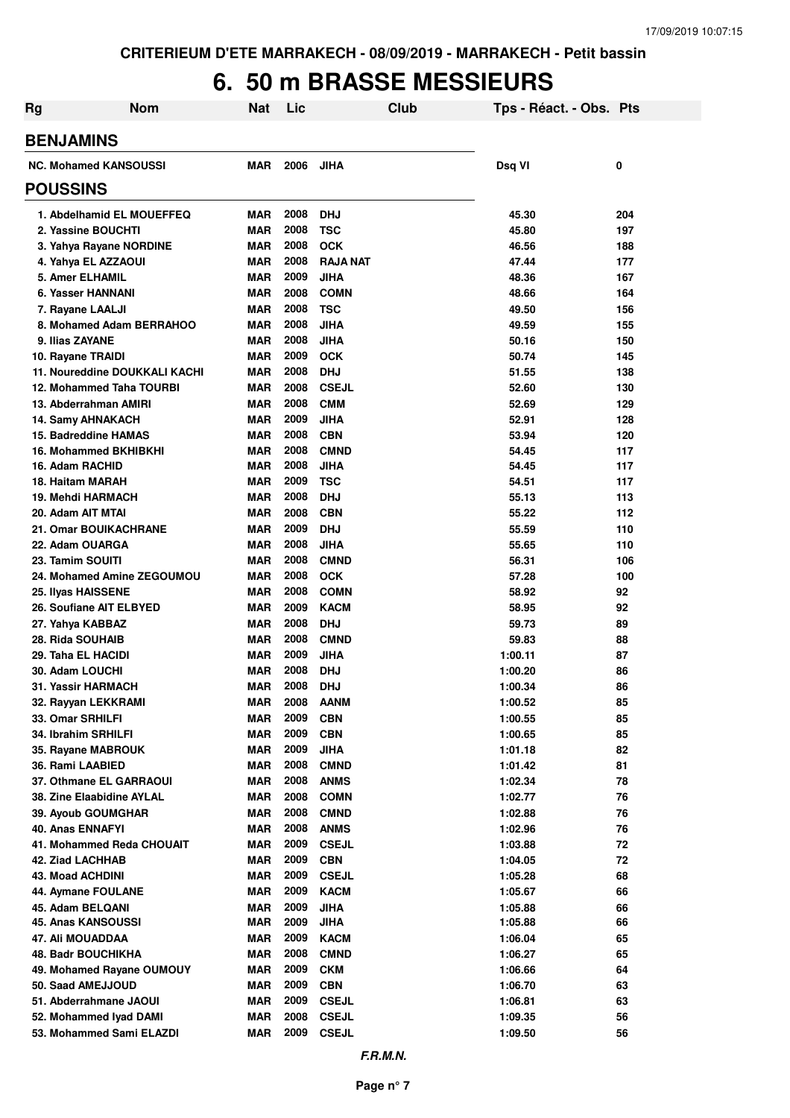# **6. 50 m BRASSE MESSIEURS**

| Rg                                          | <b>Nom</b>                    | <b>Nat</b>               | Lic          | Club                       | Tps - Réact. - Obs. Pts |            |
|---------------------------------------------|-------------------------------|--------------------------|--------------|----------------------------|-------------------------|------------|
| <b>BENJAMINS</b>                            |                               |                          |              |                            |                         |            |
| <b>NC. Mohamed KANSOUSSI</b>                |                               | <b>MAR</b>               | 2006         | <b>JIHA</b>                | Dsq VI                  | 0          |
| <b>POUSSINS</b>                             |                               |                          |              |                            |                         |            |
|                                             | 1. Abdelhamid EL MOUEFFEQ     | <b>MAR</b>               | 2008         | <b>DHJ</b>                 | 45.30                   | 204        |
| 2. Yassine BOUCHTI                          |                               | <b>MAR</b>               | 2008         | <b>TSC</b>                 | 45.80                   | 197        |
| 3. Yahya Rayane NORDINE                     |                               | <b>MAR</b>               | 2008         | <b>OCK</b>                 | 46.56                   | 188        |
| 4. Yahya EL AZZAOUI                         |                               | <b>MAR</b>               | 2008         | <b>RAJA NAT</b>            | 47.44                   | 177        |
| <b>5. Amer ELHAMIL</b>                      |                               | <b>MAR</b>               | 2009         | <b>JIHA</b>                | 48.36                   | 167        |
| 6. Yasser HANNANI                           |                               | <b>MAR</b>               | 2008         | <b>COMN</b>                | 48.66                   | 164        |
| 7. Rayane LAALJI                            |                               | <b>MAR</b>               | 2008         | <b>TSC</b>                 | 49.50                   | 156        |
|                                             | 8. Mohamed Adam BERRAHOO      | <b>MAR</b>               | 2008         | <b>JIHA</b>                | 49.59                   | 155        |
| 9. Ilias ZAYANE                             |                               | <b>MAR</b>               | 2008         | <b>JIHA</b>                | 50.16                   | 150        |
| 10. Rayane TRAIDI                           | 11. Noureddine DOUKKALI KACHI | <b>MAR</b>               | 2009<br>2008 | <b>OCK</b>                 | 50.74                   | 145        |
| 12. Mohammed Taha TOURBI                    |                               | <b>MAR</b><br><b>MAR</b> | 2008         | <b>DHJ</b><br><b>CSEJL</b> | 51.55<br>52.60          | 138<br>130 |
| 13. Abderrahman AMIRI                       |                               | <b>MAR</b>               | 2008         | <b>CMM</b>                 | 52.69                   | 129        |
| <b>14. Samy AHNAKACH</b>                    |                               | <b>MAR</b>               | 2009         | <b>JIHA</b>                | 52.91                   | 128        |
| 15. Badreddine HAMAS                        |                               | <b>MAR</b>               | 2008         | <b>CBN</b>                 | 53.94                   | 120        |
| 16. Mohammed BKHIBKHI                       |                               | <b>MAR</b>               | 2008         | <b>CMND</b>                | 54.45                   | 117        |
| 16. Adam RACHID                             |                               | <b>MAR</b>               | 2008         | <b>JIHA</b>                | 54.45                   | 117        |
| 18. Haitam MARAH                            |                               | <b>MAR</b>               | 2009         | <b>TSC</b>                 | 54.51                   | 117        |
| 19. Mehdi HARMACH                           |                               | <b>MAR</b>               | 2008         | <b>DHJ</b>                 | 55.13                   | 113        |
| 20. Adam AIT MTAI                           |                               | <b>MAR</b>               | 2008         | <b>CBN</b>                 | 55.22                   | 112        |
| <b>21. Omar BOUIKACHRANE</b>                |                               | <b>MAR</b>               | 2009         | <b>DHJ</b>                 | 55.59                   | 110        |
| 22. Adam OUARGA                             |                               | <b>MAR</b>               | 2008         | <b>JIHA</b>                | 55.65                   | 110        |
| 23. Tamim SOUITI                            |                               | <b>MAR</b>               | 2008         | <b>CMND</b>                | 56.31                   | 106        |
|                                             | 24. Mohamed Amine ZEGOUMOU    | <b>MAR</b>               | 2008         | <b>OCK</b>                 | 57.28                   | 100        |
| <b>25. Ilyas HAISSENE</b>                   |                               | <b>MAR</b>               | 2008         | <b>COMN</b>                | 58.92                   | 92         |
| 26. Soufiane AIT ELBYED                     |                               | <b>MAR</b>               | 2009         | <b>KACM</b>                | 58.95                   | 92         |
| 27. Yahya KABBAZ                            |                               | <b>MAR</b>               | 2008         | <b>DHJ</b>                 | 59.73                   | 89         |
| 28. Rida SOUHAIB                            |                               | <b>MAR</b>               | 2008         | <b>CMND</b>                | 59.83                   | 88         |
| 29. Taha EL HACIDI                          |                               | <b>MAR</b>               | 2009<br>2008 | <b>JIHA</b>                | 1:00.11                 | 87         |
| 30. Adam LOUCHI                             |                               | <b>MAR</b><br><b>MAR</b> | 2008         | <b>DHJ</b><br><b>DHJ</b>   | 1:00.20                 | 86<br>86   |
| 31. Yassir HARMACH<br>32. Rayyan LEKKRAMI   |                               | <b>MAR</b>               | 2008         | <b>AANM</b>                | 1:00.34<br>1:00.52      | 85         |
| 33. Omar SRHILFI                            |                               | <b>MAR</b>               | 2009         | <b>CBN</b>                 | 1:00.55                 | 85         |
| 34. Ibrahim SRHILFI                         |                               | <b>MAR</b>               | 2009         | <b>CBN</b>                 | 1:00.65                 | 85         |
| 35. Rayane MABROUK                          |                               | <b>MAR</b>               | 2009         | <b>JIHA</b>                | 1:01.18                 | 82         |
| 36. Rami LAABIED                            |                               | <b>MAR</b>               | 2008         | <b>CMND</b>                | 1:01.42                 | 81         |
| 37. Othmane EL GARRAOUI                     |                               | <b>MAR</b>               | 2008         | <b>ANMS</b>                | 1:02.34                 | 78         |
| 38. Zine Elaabidine AYLAL                   |                               | <b>MAR</b>               | 2008         | <b>COMN</b>                | 1:02.77                 | 76         |
| <b>39. Ayoub GOUMGHAR</b>                   |                               | <b>MAR</b>               | 2008         | <b>CMND</b>                | 1:02.88                 | 76         |
| 40. Anas ENNAFYI                            |                               | <b>MAR</b>               | 2008         | <b>ANMS</b>                | 1:02.96                 | 76         |
| 41. Mohammed Reda CHOUAIT                   |                               | <b>MAR</b>               | 2009         | <b>CSEJL</b>               | 1:03.88                 | 72         |
| 42. Ziad LACHHAB                            |                               | <b>MAR</b>               | 2009         | <b>CBN</b>                 | 1:04.05                 | 72         |
| 43. Moad ACHDINI                            |                               | <b>MAR</b>               | 2009         | <b>CSEJL</b>               | 1:05.28                 | 68         |
| 44. Aymane FOULANE                          |                               | <b>MAR</b>               | 2009         | <b>KACM</b>                | 1:05.67                 | 66         |
| 45. Adam BELQANI                            |                               | <b>MAR</b>               | 2009         | <b>JIHA</b>                | 1:05.88                 | 66         |
| 45. Anas KANSOUSSI                          |                               | <b>MAR</b>               | 2009         | <b>JIHA</b>                | 1:05.88                 | 66         |
| 47. Ali MOUADDAA                            |                               | <b>MAR</b>               | 2009         | <b>KACM</b>                | 1:06.04                 | 65         |
| 48. Badr BOUCHIKHA                          |                               | <b>MAR</b>               | 2008         | <b>CMND</b>                | 1:06.27                 | 65         |
| 49. Mohamed Rayane OUMOUY                   |                               | <b>MAR</b>               | 2009         | <b>CKM</b>                 | 1:06.66                 | 64         |
| 50. Saad AMEJJOUD<br>51. Abderrahmane JAOUI |                               | <b>MAR</b><br><b>MAR</b> | 2009<br>2009 | <b>CBN</b><br><b>CSEJL</b> | 1:06.70<br>1:06.81      | 63<br>63   |
| 52. Mohammed Iyad DAMI                      |                               | <b>MAR</b>               | 2008         | <b>CSEJL</b>               | 1:09.35                 | 56         |
| 53. Mohammed Sami ELAZDI                    |                               | <b>MAR</b>               | 2009         | <b>CSEJL</b>               | 1:09.50                 | 56         |
|                                             |                               |                          |              |                            |                         |            |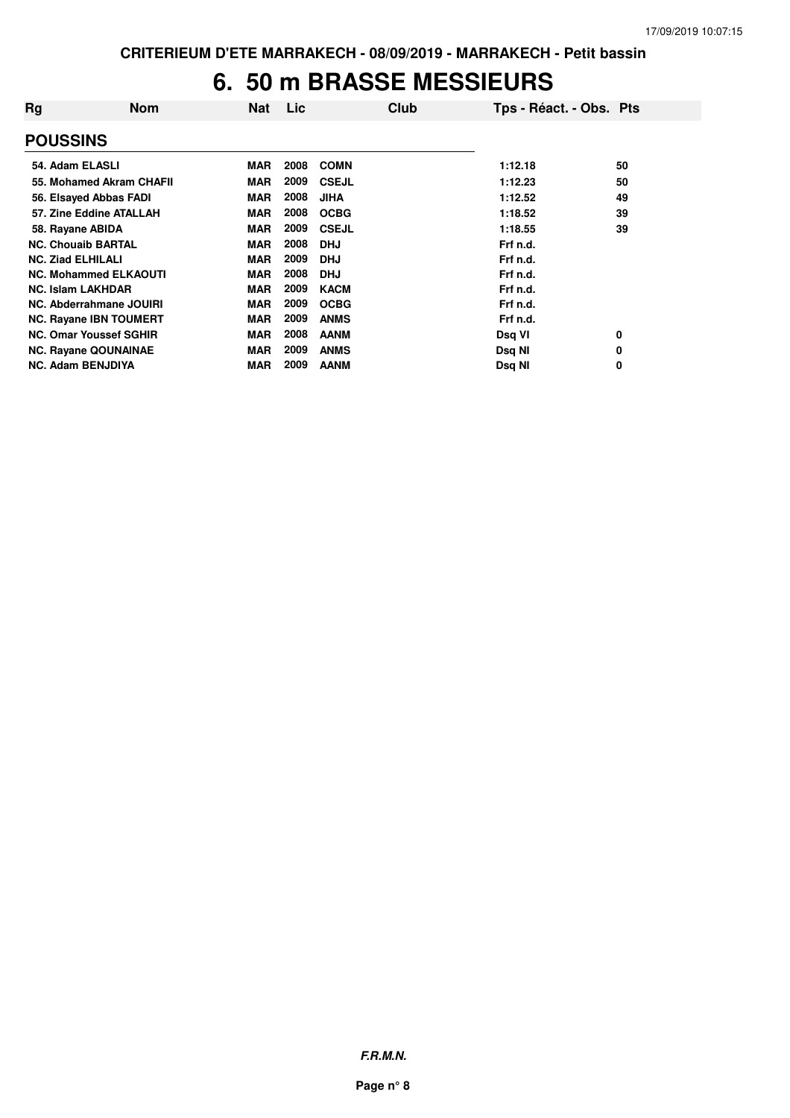#### **6. 50 m BRASSE MESSIEURS**

| Rg                            | <b>Nom</b> | <b>Nat</b> | Lic  | Club         | Tps - Réact. - Obs. Pts |    |
|-------------------------------|------------|------------|------|--------------|-------------------------|----|
| <b>POUSSINS</b>               |            |            |      |              |                         |    |
| 54. Adam ELASLI               |            | <b>MAR</b> | 2008 | <b>COMN</b>  | 1:12.18                 | 50 |
| 55. Mohamed Akram CHAFII      |            | <b>MAR</b> | 2009 | <b>CSEJL</b> | 1:12.23                 | 50 |
| 56. Elsayed Abbas FADI        |            | <b>MAR</b> | 2008 | <b>JIHA</b>  | 1:12.52                 | 49 |
| 57. Zine Eddine ATALLAH       |            | <b>MAR</b> | 2008 | <b>OCBG</b>  | 1:18.52                 | 39 |
| 58. Rayane ABIDA              |            | <b>MAR</b> | 2009 | <b>CSEJL</b> | 1:18.55                 | 39 |
| <b>NC. Chouaib BARTAL</b>     |            | <b>MAR</b> | 2008 | <b>DHJ</b>   | Frf n.d.                |    |
| <b>NC. Ziad ELHILALI</b>      |            | <b>MAR</b> | 2009 | <b>DHJ</b>   | Frf n.d.                |    |
| <b>NC. Mohammed ELKAOUTI</b>  |            | <b>MAR</b> | 2008 | <b>DHJ</b>   | Frf n.d.                |    |
| <b>NC. Islam LAKHDAR</b>      |            | <b>MAR</b> | 2009 | <b>KACM</b>  | Frf n.d.                |    |
| NC. Abderrahmane JOUIRI       |            | <b>MAR</b> | 2009 | <b>OCBG</b>  | Frf n.d.                |    |
| <b>NC. Rayane IBN TOUMERT</b> |            | <b>MAR</b> | 2009 | <b>ANMS</b>  | Frf n.d.                |    |
| <b>NC. Omar Youssef SGHIR</b> |            | <b>MAR</b> | 2008 | <b>AANM</b>  | Dsq VI                  | 0  |
| <b>NC. Rayane QOUNAINAE</b>   |            | <b>MAR</b> | 2009 | <b>ANMS</b>  | Dsq NI                  | 0  |
| <b>NC. Adam BENJDIYA</b>      |            | <b>MAR</b> | 2009 | <b>AANM</b>  | Dsq NI                  | 0  |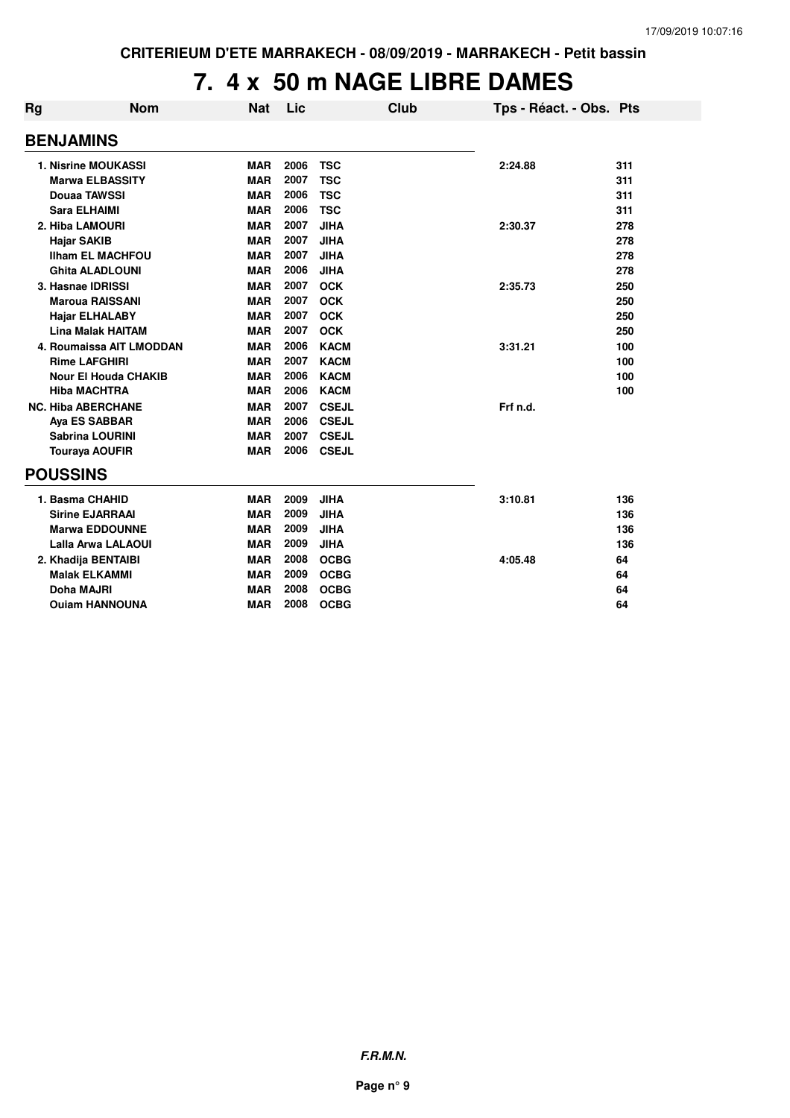## **7. 4 x 50 m NAGE LIBRE DAMES**

| Rg | <b>Nom</b>                  | <b>Nat</b> | Lic  |              | <b>Club</b> | Tps - Réact. - Obs. Pts |     |
|----|-----------------------------|------------|------|--------------|-------------|-------------------------|-----|
|    | <b>BENJAMINS</b>            |            |      |              |             |                         |     |
|    | <b>1. Nisrine MOUKASSI</b>  | <b>MAR</b> | 2006 | <b>TSC</b>   |             | 2:24.88                 | 311 |
|    | <b>Marwa ELBASSITY</b>      | <b>MAR</b> | 2007 | <b>TSC</b>   |             |                         | 311 |
|    | Douaa TAWSSI                | <b>MAR</b> | 2006 | <b>TSC</b>   |             |                         | 311 |
|    | <b>Sara ELHAIMI</b>         | <b>MAR</b> | 2006 | <b>TSC</b>   |             |                         | 311 |
|    | 2. Hiba LAMOURI             | <b>MAR</b> | 2007 | <b>JIHA</b>  |             | 2:30.37                 | 278 |
|    | <b>Hajar SAKIB</b>          | <b>MAR</b> | 2007 | <b>JIHA</b>  |             |                         | 278 |
|    | <b>Ilham EL MACHFOU</b>     | <b>MAR</b> | 2007 | <b>JIHA</b>  |             |                         | 278 |
|    | <b>Ghita ALADLOUNI</b>      | <b>MAR</b> | 2006 | <b>JIHA</b>  |             |                         | 278 |
|    | 3. Hasnae IDRISSI           | <b>MAR</b> | 2007 | <b>OCK</b>   |             | 2:35.73                 | 250 |
|    | <b>Maroua RAISSANI</b>      | <b>MAR</b> | 2007 | <b>OCK</b>   |             |                         | 250 |
|    | <b>Hajar ELHALABY</b>       | <b>MAR</b> | 2007 | <b>OCK</b>   |             |                         | 250 |
|    | <b>Lina Malak HAITAM</b>    | <b>MAR</b> | 2007 | <b>OCK</b>   |             |                         | 250 |
|    | 4. Roumaissa AIT LMODDAN    | <b>MAR</b> | 2006 | <b>KACM</b>  |             | 3:31.21                 | 100 |
|    | <b>Rime LAFGHIRI</b>        | <b>MAR</b> | 2007 | <b>KACM</b>  |             |                         | 100 |
|    | <b>Nour El Houda CHAKIB</b> | <b>MAR</b> | 2006 | <b>KACM</b>  |             |                         | 100 |
|    | <b>Hiba MACHTRA</b>         | <b>MAR</b> | 2006 | <b>KACM</b>  |             |                         | 100 |
|    | <b>NC. Hiba ABERCHANE</b>   | <b>MAR</b> | 2007 | <b>CSEJL</b> |             | Frf n.d.                |     |
|    | Aya ES SABBAR               | <b>MAR</b> | 2006 | <b>CSEJL</b> |             |                         |     |
|    | <b>Sabrina LOURINI</b>      | <b>MAR</b> | 2007 | <b>CSEJL</b> |             |                         |     |
|    | <b>Touraya AOUFIR</b>       | <b>MAR</b> | 2006 | <b>CSEJL</b> |             |                         |     |
|    | <b>POUSSINS</b>             |            |      |              |             |                         |     |
|    | 1. Basma CHAHID             | <b>MAR</b> | 2009 | <b>JIHA</b>  |             | 3:10.81                 | 136 |
|    | <b>Sirine EJARRAAI</b>      | <b>MAR</b> | 2009 | <b>JIHA</b>  |             |                         | 136 |
|    | <b>Marwa EDDOUNNE</b>       | <b>MAR</b> | 2009 | <b>JIHA</b>  |             |                         | 136 |
|    | <b>Lalla Arwa LALAOUI</b>   | <b>MAR</b> | 2009 | <b>JIHA</b>  |             |                         | 136 |
|    | 2. Khadija BENTAIBI         | <b>MAR</b> | 2008 | <b>OCBG</b>  |             | 4:05.48                 | 64  |
|    | <b>Malak ELKAMMI</b>        | <b>MAR</b> | 2009 | <b>OCBG</b>  |             |                         | 64  |
|    | <b>Doha MAJRI</b>           | <b>MAR</b> | 2008 | <b>OCBG</b>  |             |                         | 64  |
|    | <b>Ouiam HANNOUNA</b>       | <b>MAR</b> | 2008 | <b>OCBG</b>  |             |                         | 64  |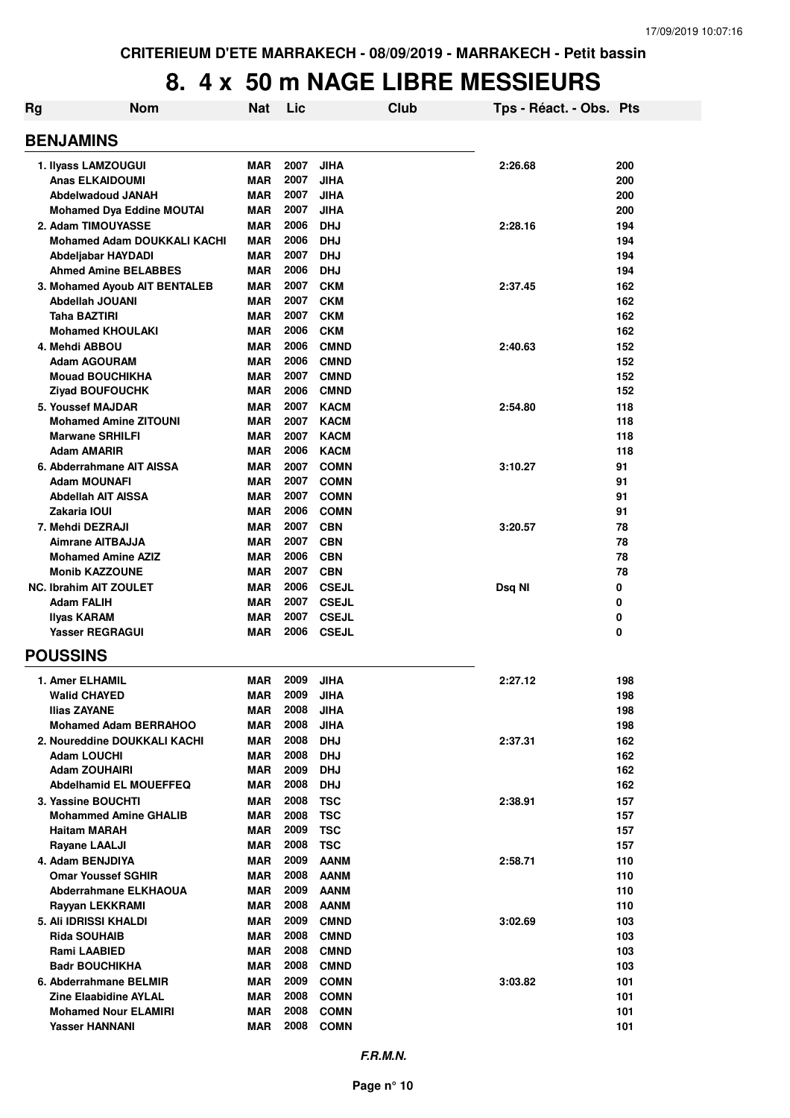| <b>Rg</b> | <b>Nom</b>                         | <b>Nat</b>        | Lic          |                              | Club | Tps - Réact. - Obs. Pts |        |
|-----------|------------------------------------|-------------------|--------------|------------------------------|------|-------------------------|--------|
|           | <b>BENJAMINS</b>                   |                   |              |                              |      |                         |        |
|           | 1. Ilyass LAMZOUGUI                | MAR               | 2007         | <b>JIHA</b>                  |      | 2:26.68                 | 200    |
|           | <b>Anas ELKAIDOUMI</b>             | MAR               | 2007         | <b>JIHA</b>                  |      |                         | 200    |
|           | <b>Abdelwadoud JANAH</b>           | MAR               | 2007         | JIHA                         |      |                         | 200    |
|           | <b>Mohamed Dya Eddine MOUTAI</b>   | <b>MAR</b>        | 2007         | JIHA                         |      |                         | 200    |
|           | 2. Adam TIMOUYASSE                 | <b>MAR</b>        | 2006         | <b>DHJ</b>                   |      | 2:28.16                 | 194    |
|           | <b>Mohamed Adam DOUKKALI KACHI</b> | <b>MAR</b>        | 2006         | <b>DHJ</b>                   |      |                         | 194    |
|           | Abdeljabar HAYDADI                 | <b>MAR</b>        | 2007         | <b>DHJ</b>                   |      |                         | 194    |
|           | <b>Ahmed Amine BELABBES</b>        | MAR               | 2006         | <b>DHJ</b>                   |      |                         | 194    |
|           | 3. Mohamed Ayoub AIT BENTALEB      | <b>MAR</b>        | 2007         | <b>CKM</b>                   |      | 2:37.45                 | 162    |
|           | Abdellah JOUANI                    | MAR               | 2007         | <b>CKM</b>                   |      |                         | 162    |
|           | Taha BAZTIRI                       | MAR               | 2007         | <b>CKM</b>                   |      |                         | 162    |
|           | <b>Mohamed KHOULAKI</b>            | MAR               | 2006         | <b>CKM</b>                   |      |                         | 162    |
|           | 4. Mehdi ABBOU                     | MAR               | 2006         | <b>CMND</b>                  |      | 2:40.63                 | 152    |
|           | <b>Adam AGOURAM</b>                | <b>MAR</b>        | 2006         | <b>CMND</b>                  |      |                         | 152    |
|           | <b>Mouad BOUCHIKHA</b>             | <b>MAR</b>        | 2007         | <b>CMND</b>                  |      |                         | 152    |
|           | <b>Ziyad BOUFOUCHK</b>             | <b>MAR</b>        | 2006         | <b>CMND</b>                  |      |                         | 152    |
|           | 5. Youssef MAJDAR                  | <b>MAR</b>        | 2007         | <b>KACM</b>                  |      | 2:54.80                 | 118    |
|           | <b>Mohamed Amine ZITOUNI</b>       | <b>MAR</b>        | 2007         | <b>KACM</b>                  |      |                         | 118    |
|           | <b>Marwane SRHILFI</b>             | MAR               | 2007         | <b>KACM</b>                  |      |                         | 118    |
|           | <b>Adam AMARIR</b>                 | <b>MAR</b>        | 2006         | <b>KACM</b>                  |      |                         | 118    |
|           | 6. Abderrahmane AIT AISSA          | <b>MAR</b>        | 2007         | <b>COMN</b>                  |      | 3:10.27                 | 91     |
|           | <b>Adam MOUNAFI</b>                | <b>MAR</b>        | 2007         | <b>COMN</b>                  |      |                         | 91     |
|           | Abdellah AIT AISSA                 | MAR               | 2007         | <b>COMN</b>                  |      |                         | 91     |
|           | Zakaria IOUI                       | MAR               | 2006         | <b>COMN</b>                  |      |                         | 91     |
|           | 7. Mehdi DEZRAJI                   | <b>MAR</b>        | 2007         | <b>CBN</b>                   |      | 3:20.57                 | 78     |
|           | <b>Aimrane AITBAJJA</b>            | <b>MAR</b>        | 2007         | <b>CBN</b>                   |      |                         | 78     |
|           | <b>Mohamed Amine AZIZ</b>          | <b>MAR</b>        | 2006         | <b>CBN</b>                   |      |                         | 78     |
|           | <b>Monib KAZZOUNE</b>              | <b>MAR</b>        | 2007         | <b>CBN</b>                   |      |                         | 78     |
|           | <b>NC. Ibrahim AIT ZOULET</b>      | MAR               | 2006         | <b>CSEJL</b>                 |      | Dsq NI                  | 0      |
|           | <b>Adam FALIH</b>                  | <b>MAR</b>        | 2007<br>2007 | <b>CSEJL</b>                 |      |                         | 0      |
|           | Ilyas KARAM<br>Yasser REGRAGUI     | <b>MAR</b><br>MAR | 2006         | <b>CSEJL</b><br><b>CSEJL</b> |      |                         | 0<br>0 |
|           | <b>POUSSINS</b>                    |                   |              |                              |      |                         |        |
|           | <b>1. Amer ELHAMIL</b>             | MAR               | 2009         | JIHA                         |      | 2:27.12                 | 198    |
|           | <b>Walid CHAYED</b>                | <b>MAR</b>        | 2009         | JIHA                         |      |                         | 198    |
|           | <b>Ilias ZAYANE</b>                | MAR               | 2008         | <b>JIHA</b>                  |      |                         | 198    |
|           | <b>Mohamed Adam BERRAHOO</b>       | MAR               | 2008         | <b>JIHA</b>                  |      |                         | 198    |
|           | 2. Noureddine DOUKKALI KACHI       | MAR               | 2008         | <b>DHJ</b>                   |      | 2:37.31                 | 162    |
|           | <b>Adam LOUCHI</b>                 | MAR               | 2008         | <b>DHJ</b>                   |      |                         | 162    |
|           | <b>Adam ZOUHAIRI</b>               | MAR               | 2009         | <b>DHJ</b>                   |      |                         | 162    |
|           | <b>Abdelhamid EL MOUEFFEQ</b>      | <b>MAR</b>        | 2008         | <b>DHJ</b>                   |      |                         | 162    |
|           | 3. Yassine BOUCHTI                 | MAR               | 2008         | <b>TSC</b>                   |      | 2:38.91                 | 157    |
|           | <b>Mohammed Amine GHALIB</b>       | MAR               | 2008         | <b>TSC</b>                   |      |                         | 157    |
|           | <b>Haitam MARAH</b>                | MAR               | 2009         | <b>TSC</b>                   |      |                         | 157    |
|           | <b>Rayane LAALJI</b>               | MAR               | 2008         | <b>TSC</b>                   |      |                         | 157    |
|           | 4. Adam BENJDIYA                   | MAR               | 2009         | <b>AANM</b>                  |      | 2:58.71                 | 110    |
|           | <b>Omar Youssef SGHIR</b>          | MAR               | 2008         | <b>AANM</b>                  |      |                         | 110    |
|           | Abderrahmane ELKHAOUA              | MAR               | 2009         | <b>AANM</b>                  |      |                         | 110    |
|           | Rayyan LEKKRAMI                    | <b>MAR</b>        | 2008         | <b>AANM</b>                  |      |                         | 110    |
|           | 5. Ali IDRISSI KHALDI              | MAR               | 2009         | <b>CMND</b>                  |      | 3:02.69                 | 103    |
|           | <b>Rida SOUHAIB</b>                | <b>MAR</b>        | 2008         | <b>CMND</b>                  |      |                         | 103    |
|           | Rami LAABIED                       | MAR               | 2008         | <b>CMND</b>                  |      |                         | 103    |
|           | <b>Badr BOUCHIKHA</b>              | MAR               | 2008         | <b>CMND</b>                  |      |                         | 103    |
|           | 6. Abderrahmane BELMIR             | MAR               | 2009         | <b>COMN</b>                  |      | 3:03.82                 | 101    |
|           | <b>Zine Elaabidine AYLAL</b>       | MAR               | 2008         | <b>COMN</b>                  |      |                         | 101    |
|           | <b>Mohamed Nour ELAMIRI</b>        | MAR               | 2008         | <b>COMN</b>                  |      |                         | 101    |
|           | <b>Yasser HANNANI</b>              | MAR               | 2008         | <b>COMN</b>                  |      |                         | 101    |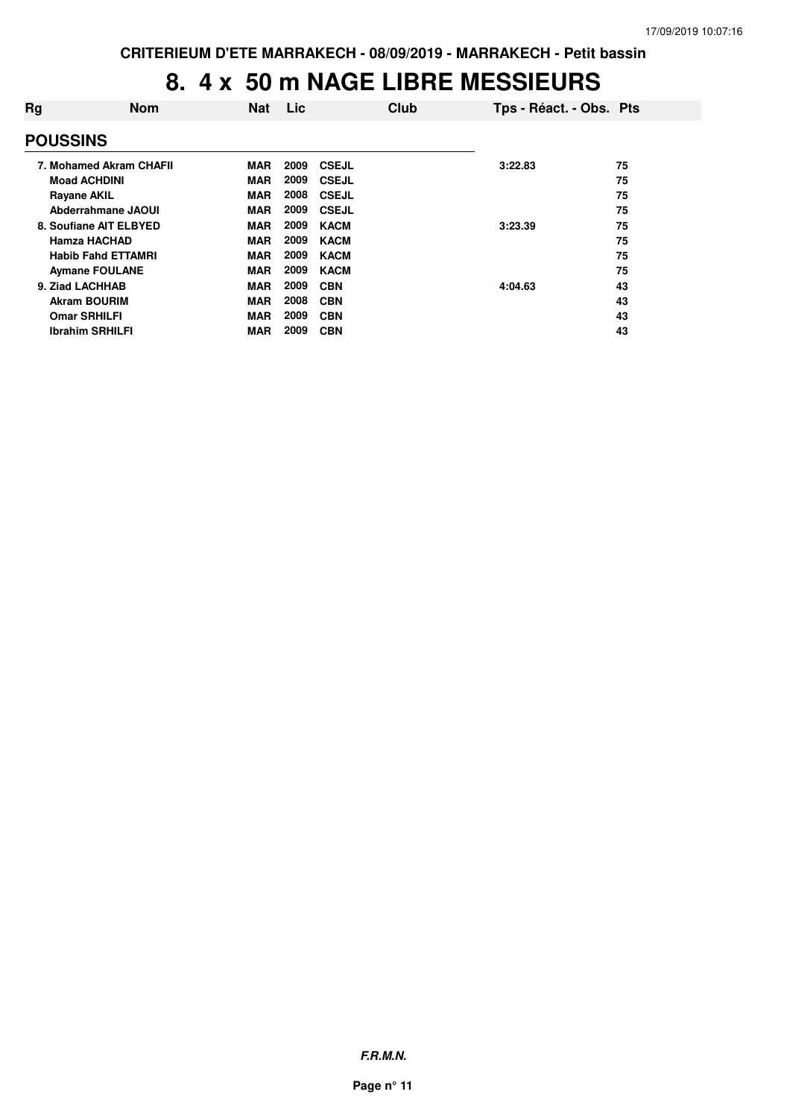| Rg                     | <b>Nom</b>                | <b>Nat</b> | Lic  | Club         | Tps - Réact. - Obs. Pts |    |
|------------------------|---------------------------|------------|------|--------------|-------------------------|----|
| <b>POUSSINS</b>        |                           |            |      |              |                         |    |
|                        | 7. Mohamed Akram CHAFII   | <b>MAR</b> | 2009 | <b>CSEJL</b> | 3:22.83                 | 75 |
| <b>Moad ACHDINI</b>    |                           | <b>MAR</b> | 2009 | <b>CSEJL</b> |                         | 75 |
| <b>Rayane AKIL</b>     |                           | <b>MAR</b> | 2008 | <b>CSEJL</b> |                         | 75 |
|                        | Abderrahmane JAOUI        | <b>MAR</b> | 2009 | <b>CSEJL</b> |                         | 75 |
| 8. Soufiane AIT ELBYED |                           | <b>MAR</b> | 2009 | <b>KACM</b>  | 3:23.39                 | 75 |
| <b>Hamza HACHAD</b>    |                           | <b>MAR</b> | 2009 | <b>KACM</b>  |                         | 75 |
|                        | <b>Habib Fahd ETTAMRI</b> | <b>MAR</b> | 2009 | <b>KACM</b>  |                         | 75 |
| <b>Aymane FOULANE</b>  |                           | <b>MAR</b> | 2009 | <b>KACM</b>  |                         | 75 |
| 9. Ziad LACHHAB        |                           | <b>MAR</b> | 2009 | <b>CBN</b>   | 4:04.63                 | 43 |
| <b>Akram BOURIM</b>    |                           | <b>MAR</b> | 2008 | <b>CBN</b>   |                         | 43 |
| <b>Omar SRHILFI</b>    |                           | <b>MAR</b> | 2009 | <b>CBN</b>   |                         | 43 |
| <b>Ibrahim SRHILFI</b> |                           | <b>MAR</b> | 2009 | <b>CBN</b>   |                         | 43 |

**F.R.M.N.**

**Page n° 11**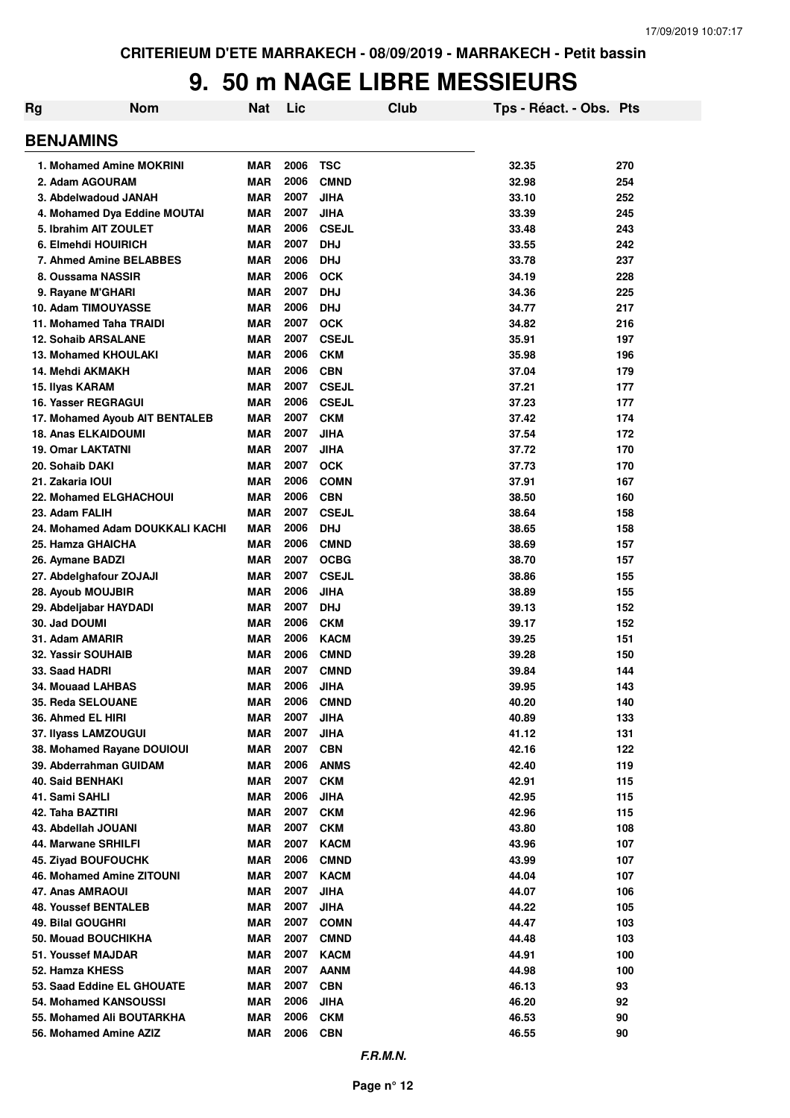| Rg                                                 | <b>Nom</b>                      | <b>Nat</b>               | Lic          |                            | Club | Tps - Réact. - Obs. Pts |            |
|----------------------------------------------------|---------------------------------|--------------------------|--------------|----------------------------|------|-------------------------|------------|
| <b>BENJAMINS</b>                                   |                                 |                          |              |                            |      |                         |            |
| 1. Mohamed Amine MOKRINI                           |                                 | <b>MAR</b>               | 2006         | <b>TSC</b>                 |      | 32.35                   | 270        |
| 2. Adam AGOURAM                                    |                                 | <b>MAR</b>               | 2006         | <b>CMND</b>                |      | 32.98                   | 254        |
| 3. Abdelwadoud JANAH                               |                                 | <b>MAR</b>               | 2007         | <b>JIHA</b>                |      | 33.10                   | 252        |
|                                                    | 4. Mohamed Dya Eddine MOUTAI    | <b>MAR</b>               | 2007         | <b>JIHA</b>                |      | 33.39                   | 245        |
| 5. Ibrahim AIT ZOULET                              |                                 | <b>MAR</b>               | 2006         | <b>CSEJL</b>               |      | 33.48                   | 243        |
| 6. Elmehdi HOUIRICH                                |                                 | <b>MAR</b>               | 2007         | <b>DHJ</b>                 |      | 33.55                   | 242        |
| 7. Ahmed Amine BELABBES                            |                                 | <b>MAR</b>               | 2006         | <b>DHJ</b>                 |      | 33.78                   | 237        |
| 8. Oussama NASSIR                                  |                                 | <b>MAR</b>               | 2006         | <b>OCK</b>                 |      | 34.19                   | 228        |
| 9. Rayane M'GHARI                                  |                                 | <b>MAR</b>               | 2007         | <b>DHJ</b>                 |      | 34.36                   | 225        |
| 10. Adam TIMOUYASSE                                |                                 | <b>MAR</b>               | 2006<br>2007 | <b>DHJ</b>                 |      | 34.77                   | 217        |
| 11. Mohamed Taha TRAIDI                            |                                 | <b>MAR</b><br><b>MAR</b> | 2007         | <b>OCK</b><br><b>CSEJL</b> |      | 34.82<br>35.91          | 216        |
| <b>12. Sohaib ARSALANE</b><br>13. Mohamed KHOULAKI |                                 | <b>MAR</b>               | 2006         | <b>CKM</b>                 |      | 35.98                   | 197<br>196 |
| 14. Mehdi AKMAKH                                   |                                 | <b>MAR</b>               | 2006         | <b>CBN</b>                 |      | 37.04                   | 179        |
| 15. Ilyas KARAM                                    |                                 | <b>MAR</b>               | 2007         | <b>CSEJL</b>               |      | 37.21                   | 177        |
| 16. Yasser REGRAGUI                                |                                 | <b>MAR</b>               | 2006         | <b>CSEJL</b>               |      | 37.23                   | 177        |
|                                                    | 17. Mohamed Ayoub AIT BENTALEB  | <b>MAR</b>               | 2007         | <b>CKM</b>                 |      | 37.42                   | 174        |
| 18. Anas ELKAIDOUMI                                |                                 | <b>MAR</b>               | 2007         | <b>JIHA</b>                |      | 37.54                   | 172        |
| <b>19. Omar LAKTATNI</b>                           |                                 | <b>MAR</b>               | 2007         | <b>JIHA</b>                |      | 37.72                   | 170        |
| 20. Sohaib DAKI                                    |                                 | <b>MAR</b>               | 2007         | <b>OCK</b>                 |      | 37.73                   | 170        |
| 21. Zakaria IOUI                                   |                                 | <b>MAR</b>               | 2006         | <b>COMN</b>                |      | 37.91                   | 167        |
| <b>22. Mohamed ELGHACHOUI</b>                      |                                 | <b>MAR</b>               | 2006         | <b>CBN</b>                 |      | 38.50                   | 160        |
| 23. Adam FALIH                                     |                                 | <b>MAR</b>               | 2007         | <b>CSEJL</b>               |      | 38.64                   | 158        |
|                                                    | 24. Mohamed Adam DOUKKALI KACHI | <b>MAR</b>               | 2006         | <b>DHJ</b>                 |      | 38.65                   | 158        |
| 25. Hamza GHAICHA                                  |                                 | <b>MAR</b>               | 2006         | <b>CMND</b>                |      | 38.69                   | 157        |
| 26. Aymane BADZI                                   |                                 | <b>MAR</b>               | 2007         | <b>OCBG</b>                |      | 38.70                   | 157        |
| 27. Abdelghafour ZOJAJI                            |                                 | <b>MAR</b>               | 2007         | <b>CSEJL</b>               |      | 38.86                   | 155        |
| 28. Ayoub MOUJBIR                                  |                                 | <b>MAR</b>               | 2006         | <b>JIHA</b>                |      | 38.89                   | 155        |
| 29. Abdeljabar HAYDADI                             |                                 | <b>MAR</b>               | 2007         | <b>DHJ</b>                 |      | 39.13                   | 152        |
| 30. Jad DOUMI                                      |                                 | <b>MAR</b>               | 2006         | <b>CKM</b>                 |      | 39.17                   | 152        |
| 31. Adam AMARIR                                    |                                 | <b>MAR</b>               | 2006         | <b>KACM</b>                |      | 39.25                   | 151        |
| 32. Yassir SOUHAIB                                 |                                 | <b>MAR</b>               | 2006         | <b>CMND</b>                |      | 39.28                   | 150        |
| 33. Saad HADRI                                     |                                 | <b>MAR</b>               | 2007         | <b>CMND</b>                |      | 39.84                   | 144        |
| 34. Mouaad LAHBAS                                  |                                 | <b>MAR</b>               | 2006         | <b>JIHA</b>                |      | 39.95                   | 143        |
| 35. Reda SELOUANE                                  |                                 | <b>MAR</b>               | 2006         | <b>CMND</b>                |      | 40.20                   | 140        |
| 36. Ahmed EL HIRI                                  |                                 | <b>MAR</b>               | 2007<br>2007 | <b>JIHA</b>                |      | 40.89                   | 133        |
| 37. Ilyass LAMZOUGUI<br>38. Mohamed Rayane DOUIOUI |                                 | <b>MAR</b><br><b>MAR</b> | 2007         | <b>JIHA</b><br><b>CBN</b>  |      | 41.12<br>42.16          | 131<br>122 |
| 39. Abderrahman GUIDAM                             |                                 | <b>MAR</b>               | 2006         | <b>ANMS</b>                |      | 42.40                   | 119        |
| <b>40. Said BENHAKI</b>                            |                                 | <b>MAR</b>               | 2007         | <b>CKM</b>                 |      | 42.91                   | 115        |
| 41. Sami SAHLI                                     |                                 | <b>MAR</b>               | 2006         | <b>JIHA</b>                |      | 42.95                   | 115        |
| 42. Taha BAZTIRI                                   |                                 | <b>MAR</b>               | 2007         | <b>CKM</b>                 |      | 42.96                   | 115        |
| 43. Abdellah JOUANI                                |                                 | <b>MAR</b>               | 2007         | <b>CKM</b>                 |      | 43.80                   | 108        |
| 44. Marwane SRHILFI                                |                                 | <b>MAR</b>               | 2007         | <b>KACM</b>                |      | 43.96                   | 107        |
| 45. Ziyad BOUFOUCHK                                |                                 | <b>MAR</b>               | 2006         | <b>CMND</b>                |      | 43.99                   | 107        |
| 46. Mohamed Amine ZITOUNI                          |                                 | <b>MAR</b>               | 2007         | <b>KACM</b>                |      | 44.04                   | 107        |
| 47. Anas AMRAOUI                                   |                                 | <b>MAR</b>               | 2007         | <b>JIHA</b>                |      | 44.07                   | 106        |
| <b>48. Youssef BENTALEB</b>                        |                                 | <b>MAR</b>               | 2007         | <b>JIHA</b>                |      | 44.22                   | 105        |
| 49. Bilal GOUGHRI                                  |                                 | <b>MAR</b>               | 2007         | <b>COMN</b>                |      | 44.47                   | 103        |
| 50. Mouad BOUCHIKHA                                |                                 | <b>MAR</b>               | 2007         | <b>CMND</b>                |      | 44.48                   | 103        |
| 51. Youssef MAJDAR                                 |                                 | <b>MAR</b>               | 2007         | <b>KACM</b>                |      | 44.91                   | 100        |
| 52. Hamza KHESS                                    |                                 | <b>MAR</b>               | 2007         | <b>AANM</b>                |      | 44.98                   | 100        |
| 53. Saad Eddine EL GHOUATE                         |                                 | <b>MAR</b>               | 2007         | <b>CBN</b>                 |      | 46.13                   | 93         |
| 54. Mohamed KANSOUSSI                              |                                 | <b>MAR</b>               | 2006         | <b>JIHA</b>                |      | 46.20                   | 92         |
| 55. Mohamed Ali BOUTARKHA                          |                                 | <b>MAR</b>               | 2006         | <b>CKM</b>                 |      | 46.53                   | 90         |
| 56. Mohamed Amine AZIZ                             |                                 | <b>MAR</b>               | 2006         | <b>CBN</b>                 |      | 46.55                   | 90         |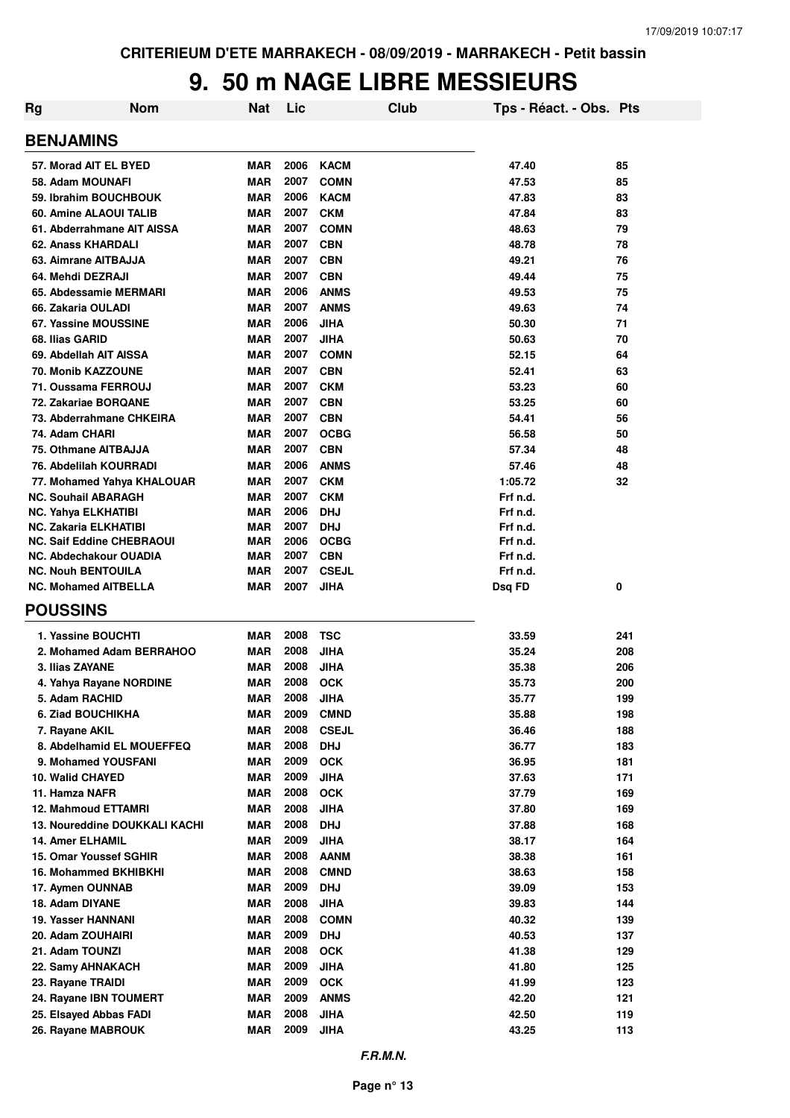| Rg                                                         | <b>Nom</b> | Nat                      | Lic          |                          | Club | Tps - Réact. - Obs. Pts |     |
|------------------------------------------------------------|------------|--------------------------|--------------|--------------------------|------|-------------------------|-----|
| <b>BENJAMINS</b>                                           |            |                          |              |                          |      |                         |     |
| 57. Morad AIT EL BYED                                      |            | <b>MAR</b>               | 2006         | <b>KACM</b>              |      | 47.40                   | 85  |
| 58. Adam MOUNAFI                                           |            | <b>MAR</b>               | 2007         | <b>COMN</b>              |      | 47.53                   | 85  |
| 59. Ibrahim BOUCHBOUK                                      |            | <b>MAR</b>               | 2006         | <b>KACM</b>              |      | 47.83                   | 83  |
| 60. Amine ALAOUI TALIB                                     |            | <b>MAR</b>               | 2007         | <b>CKM</b>               |      | 47.84                   | 83  |
| 61. Abderrahmane AIT AISSA                                 |            | <b>MAR</b>               | 2007         | <b>COMN</b>              |      | 48.63                   | 79  |
| 62. Anass KHARDALI                                         |            | <b>MAR</b>               | 2007         | <b>CBN</b>               |      | 48.78                   | 78  |
| 63. Aimrane AITBAJJA                                       |            | <b>MAR</b>               | 2007         | <b>CBN</b>               |      | 49.21                   | 76  |
| 64. Mehdi DEZRAJI                                          |            | <b>MAR</b>               | 2007         | <b>CBN</b>               |      | 49.44                   | 75  |
| 65. Abdessamie MERMARI                                     |            | <b>MAR</b>               | 2006         | <b>ANMS</b>              |      | 49.53                   | 75  |
| 66. Zakaria OULADI                                         |            | <b>MAR</b>               | 2007         | <b>ANMS</b>              |      | 49.63                   | 74  |
| 67. Yassine MOUSSINE                                       |            | <b>MAR</b>               | 2006         | <b>JIHA</b>              |      | 50.30                   | 71  |
| 68. Ilias GARID                                            |            | <b>MAR</b>               | 2007         | <b>JIHA</b>              |      | 50.63                   | 70  |
| 69. Abdellah AIT AISSA                                     |            | <b>MAR</b>               | 2007         | <b>COMN</b>              |      | 52.15                   | 64  |
| 70. Monib KAZZOUNE                                         |            | <b>MAR</b>               | 2007         | <b>CBN</b>               |      | 52.41                   | 63  |
| 71. Oussama FERROUJ                                        |            | <b>MAR</b>               | 2007         | <b>CKM</b>               |      | 53.23                   | 60  |
| 72. Zakariae BORQANE                                       |            | <b>MAR</b>               | 2007         | <b>CBN</b>               |      | 53.25                   | 60  |
| 73. Abderrahmane CHKEIRA                                   |            | <b>MAR</b>               | 2007         | <b>CBN</b>               |      | 54.41                   | 56  |
| 74. Adam CHARI                                             |            | <b>MAR</b>               | 2007         | <b>OCBG</b>              |      | 56.58                   | 50  |
| 75. Othmane AITBAJJA                                       |            | <b>MAR</b>               | 2007         | <b>CBN</b>               |      |                         |     |
|                                                            |            |                          | 2006         | <b>ANMS</b>              |      | 57.34                   | 48  |
| 76. Abdelilah KOURRADI                                     |            | <b>MAR</b>               | 2007         |                          |      | 57.46                   | 48  |
| 77. Mohamed Yahya KHALOUAR                                 |            | <b>MAR</b>               |              | <b>CKM</b>               |      | 1:05.72                 | 32  |
| NC. Souhail ABARAGH                                        |            | <b>MAR</b>               | 2007<br>2006 | <b>CKM</b><br><b>DHJ</b> |      | Frf n.d.                |     |
| <b>NC. Yahya ELKHATIBI</b><br><b>NC. Zakaria ELKHATIBI</b> |            | <b>MAR</b><br><b>MAR</b> | 2007         | <b>DHJ</b>               |      | Frf n.d.<br>Frf n.d.    |     |
| <b>NC. Saif Eddine CHEBRAOUI</b>                           |            | <b>MAR</b>               | 2006         | <b>OCBG</b>              |      | Frf n.d.                |     |
| NC. Abdechakour OUADIA                                     |            | <b>MAR</b>               | 2007         | <b>CBN</b>               |      | Frf n.d.                |     |
| <b>NC. Nouh BENTOUILA</b>                                  |            | MAR                      | 2007         | <b>CSEJL</b>             |      | Frf n.d.                |     |
| <b>NC. Mohamed AITBELLA</b>                                |            | <b>MAR</b>               | 2007         | <b>JIHA</b>              |      |                         | 0   |
|                                                            |            |                          |              |                          |      | Dsq FD                  |     |
| <b>POUSSINS</b>                                            |            |                          |              |                          |      |                         |     |
| 1. Yassine BOUCHTI                                         |            | <b>MAR</b>               | 2008         | <b>TSC</b>               |      | 33.59                   | 241 |
| 2. Mohamed Adam BERRAHOO                                   |            | <b>MAR</b>               | 2008         | <b>JIHA</b>              |      | 35.24                   | 208 |
| 3. Ilias ZAYANE                                            |            | <b>MAR</b>               | 2008         | <b>JIHA</b>              |      | 35.38                   | 206 |
| 4. Yahya Rayane NORDINE                                    |            | <b>MAR</b>               | 2008         | <b>OCK</b>               |      | 35.73                   | 200 |
| 5. Adam RACHID                                             |            | MAR                      | 2008         | <b>JIHA</b>              |      | 35.77                   | 199 |
| 6. Ziad BOUCHIKHA                                          |            | <b>MAR</b>               | 2009         | <b>CMND</b>              |      | 35.88                   | 198 |
| 7. Rayane AKIL                                             |            | <b>MAR</b>               | 2008         | <b>CSEJL</b>             |      | 36.46                   | 188 |
| 8. Abdelhamid EL MOUEFFEQ                                  |            | <b>MAR</b>               | 2008         | <b>DHJ</b>               |      | 36.77                   | 183 |
| 9. Mohamed YOUSFANI                                        |            | <b>MAR</b>               | 2009         | <b>OCK</b>               |      | 36.95                   | 181 |
| 10. Walid CHAYED                                           |            | <b>MAR</b>               | 2009         | <b>JIHA</b>              |      | 37.63                   | 171 |
| 11. Hamza NAFR                                             |            | <b>MAR</b>               | 2008         | <b>OCK</b>               |      | 37.79                   | 169 |
| 12. Mahmoud ETTAMRI                                        |            | <b>MAR</b>               | 2008         | <b>JIHA</b>              |      | 37.80                   | 169 |
| 13. Noureddine DOUKKALI KACHI                              |            | <b>MAR</b>               | 2008         | <b>DHJ</b>               |      | 37.88                   | 168 |
| <b>14. Amer ELHAMIL</b>                                    |            | <b>MAR</b>               | 2009         | <b>JIHA</b>              |      | 38.17                   | 164 |
| 15. Omar Youssef SGHIR                                     |            | <b>MAR</b>               | 2008         | <b>AANM</b>              |      | 38.38                   | 161 |
| 16. Mohammed BKHIBKHI                                      |            | MAR                      | 2008         | <b>CMND</b>              |      | 38.63                   | 158 |
| 17. Aymen OUNNAB                                           |            | <b>MAR</b>               | 2009         | <b>DHJ</b>               |      | 39.09                   | 153 |
| 18. Adam DIYANE                                            |            | <b>MAR</b>               | 2008         | <b>JIHA</b>              |      | 39.83                   | 144 |
| 19. Yasser HANNANI                                         |            | MAR                      | 2008         | <b>COMN</b>              |      | 40.32                   | 139 |
| 20. Adam ZOUHAIRI                                          |            | <b>MAR</b>               | 2009         | <b>DHJ</b>               |      | 40.53                   | 137 |
| 21. Adam TOUNZI                                            |            | <b>MAR</b>               | 2008         | <b>OCK</b>               |      | 41.38                   | 129 |
| 22. Samy AHNAKACH                                          |            | <b>MAR</b>               | 2009         | <b>JIHA</b>              |      | 41.80                   | 125 |
| 23. Rayane TRAIDI                                          |            | <b>MAR</b>               | 2009         | <b>OCK</b>               |      | 41.99                   | 123 |
| 24. Rayane IBN TOUMERT                                     |            | <b>MAR</b>               | 2009         | <b>ANMS</b>              |      | 42.20                   | 121 |
| 25. Elsayed Abbas FADI                                     |            | <b>MAR</b>               | 2008         | <b>JIHA</b>              |      | 42.50                   | 119 |
| 26. Rayane MABROUK                                         |            | MAR                      | 2009         | <b>JIHA</b>              |      | 43.25                   | 113 |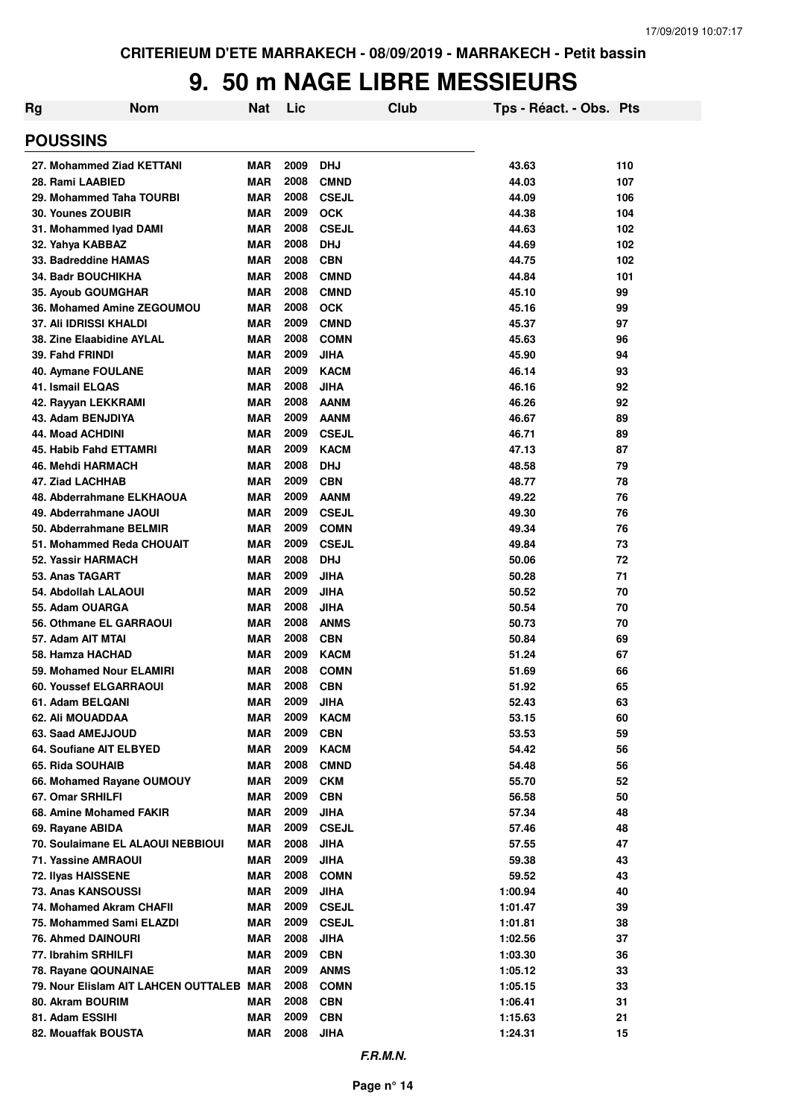| Rg | <b>Nom</b>                               | Nat        | Lic  |              | Club | Tps - Réact. - Obs. Pts |     |
|----|------------------------------------------|------------|------|--------------|------|-------------------------|-----|
|    | <b>POUSSINS</b>                          |            |      |              |      |                         |     |
|    | 27. Mohammed Ziad KETTANI                | <b>MAR</b> | 2009 | <b>DHJ</b>   |      | 43.63                   | 110 |
|    | 28. Rami LAABIED                         | <b>MAR</b> | 2008 | <b>CMND</b>  |      | 44.03                   | 107 |
|    | 29. Mohammed Taha TOURBI                 | <b>MAR</b> | 2008 | <b>CSEJL</b> |      | 44.09                   | 106 |
|    | 30. Younes ZOUBIR                        | <b>MAR</b> | 2009 | <b>OCK</b>   |      | 44.38                   | 104 |
|    | 31. Mohammed Iyad DAMI                   | <b>MAR</b> | 2008 | <b>CSEJL</b> |      | 44.63                   | 102 |
|    | 32. Yahya KABBAZ                         | <b>MAR</b> | 2008 | <b>DHJ</b>   |      | 44.69                   | 102 |
|    | 33. Badreddine HAMAS                     | <b>MAR</b> | 2008 | <b>CBN</b>   |      | 44.75                   | 102 |
|    | <b>34. Badr BOUCHIKHA</b>                | <b>MAR</b> | 2008 | <b>CMND</b>  |      | 44.84                   | 101 |
|    | <b>35. Ayoub GOUMGHAR</b>                | <b>MAR</b> | 2008 | <b>CMND</b>  |      | 45.10                   | 99  |
|    | 36. Mohamed Amine ZEGOUMOU               | <b>MAR</b> | 2008 | <b>OCK</b>   |      | 45.16                   | 99  |
|    | 37. Ali IDRISSI KHALDI                   | <b>MAR</b> | 2009 | <b>CMND</b>  |      | 45.37                   | 97  |
|    | 38. Zine Elaabidine AYLAL                | <b>MAR</b> | 2008 | <b>COMN</b>  |      | 45.63                   | 96  |
|    | 39. Fahd FRINDI                          | <b>MAR</b> | 2009 | <b>JIHA</b>  |      | 45.90                   | 94  |
|    | 40. Aymane FOULANE                       | <b>MAR</b> | 2009 | <b>KACM</b>  |      | 46.14                   | 93  |
|    | 41. Ismail ELQAS                         | <b>MAR</b> | 2008 | <b>JIHA</b>  |      | 46.16                   | 92  |
|    | 42. Rayyan LEKKRAMI                      | <b>MAR</b> | 2008 | <b>AANM</b>  |      | 46.26                   | 92  |
|    | 43. Adam BENJDIYA                        | <b>MAR</b> | 2009 | <b>AANM</b>  |      | 46.67                   | 89  |
|    | <b>44. Moad ACHDINI</b>                  | <b>MAR</b> | 2009 | <b>CSEJL</b> |      | 46.71                   | 89  |
|    | 45. Habib Fahd ETTAMRI                   | <b>MAR</b> | 2009 | <b>KACM</b>  |      | 47.13                   | 87  |
|    | 46. Mehdi HARMACH                        | <b>MAR</b> | 2008 | <b>DHJ</b>   |      | 48.58                   | 79  |
|    | 47. Ziad LACHHAB                         | <b>MAR</b> | 2009 | <b>CBN</b>   |      | 48.77                   | 78  |
|    | 48. Abderrahmane ELKHAOUA                | <b>MAR</b> | 2009 | <b>AANM</b>  |      | 49.22                   | 76  |
|    | 49. Abderrahmane JAOUI                   | <b>MAR</b> | 2009 | <b>CSEJL</b> |      | 49.30                   | 76  |
|    | 50. Abderrahmane BELMIR                  | <b>MAR</b> | 2009 | <b>COMN</b>  |      | 49.34                   | 76  |
|    | 51. Mohammed Reda CHOUAIT                | <b>MAR</b> | 2009 | <b>CSEJL</b> |      | 49.84                   | 73  |
|    | 52. Yassir HARMACH                       | <b>MAR</b> | 2008 | <b>DHJ</b>   |      | 50.06                   | 72  |
|    | 53. Anas TAGART                          | <b>MAR</b> | 2009 | <b>JIHA</b>  |      | 50.28                   | 71  |
|    | 54. Abdollah LALAOUI                     | <b>MAR</b> | 2009 | <b>JIHA</b>  |      | 50.52                   | 70  |
|    | 55. Adam OUARGA                          | <b>MAR</b> | 2008 | <b>JIHA</b>  |      | 50.54                   | 70  |
|    | 56. Othmane EL GARRAOUI                  | <b>MAR</b> | 2008 | <b>ANMS</b>  |      | 50.73                   | 70  |
|    | 57. Adam AIT MTAI                        | <b>MAR</b> | 2008 | <b>CBN</b>   |      | 50.84                   | 69  |
|    | 58. Hamza HACHAD                         | <b>MAR</b> | 2009 | <b>KACM</b>  |      | 51.24                   | 67  |
|    | 59. Mohamed Nour ELAMIRI                 | <b>MAR</b> | 2008 | <b>COMN</b>  |      | 51.69                   | 66  |
|    | 60. Youssef ELGARRAOUI                   | <b>MAR</b> | 2008 | <b>CBN</b>   |      | 51.92                   | 65  |
|    | 61. Adam BELQANI                         | <b>MAR</b> | 2009 | <b>JIHA</b>  |      | 52.43                   | 63  |
|    | 62. Ali MOUADDAA                         | <b>MAR</b> | 2009 | <b>KACM</b>  |      | 53.15                   | 60  |
|    | 63. Saad AMEJJOUD                        | <b>MAR</b> | 2009 | <b>CBN</b>   |      | 53.53                   | 59  |
|    | 64. Soufiane AIT ELBYED                  | MAR        | 2009 | <b>KACM</b>  |      | 54.42                   | 56  |
|    | 65. Rida SOUHAIB                         | <b>MAR</b> | 2008 | <b>CMND</b>  |      | 54.48                   | 56  |
|    | 66. Mohamed Rayane OUMOUY                | <b>MAR</b> | 2009 | <b>CKM</b>   |      | 55.70                   | 52  |
|    | 67. Omar SRHILFI                         | <b>MAR</b> | 2009 | <b>CBN</b>   |      | 56.58                   | 50  |
|    | 68. Amine Mohamed FAKIR                  | <b>MAR</b> | 2009 | <b>JIHA</b>  |      | 57.34                   | 48  |
|    | 69. Rayane ABIDA                         | <b>MAR</b> | 2009 | <b>CSEJL</b> |      | 57.46                   | 48  |
|    | 70. Soulaimane EL ALAOUI NEBBIOUI        | <b>MAR</b> | 2008 | <b>JIHA</b>  |      | 57.55                   | 47  |
|    | 71. Yassine AMRAOUI                      | MAR        | 2009 | <b>JIHA</b>  |      | 59.38                   | 43  |
|    | 72. Ilyas HAISSENE                       | <b>MAR</b> | 2008 | <b>COMN</b>  |      | 59.52                   | 43  |
|    | 73. Anas KANSOUSSI                       | <b>MAR</b> | 2009 | <b>JIHA</b>  |      | 1:00.94                 | 40  |
|    | 74. Mohamed Akram CHAFII                 | MAR        | 2009 | <b>CSEJL</b> |      | 1:01.47                 | 39  |
|    | 75. Mohammed Sami ELAZDI                 | <b>MAR</b> | 2009 | <b>CSEJL</b> |      | 1:01.81                 | 38  |
|    | <b>76. Ahmed DAINOURI</b>                | <b>MAR</b> | 2008 | <b>JIHA</b>  |      | 1:02.56                 | 37  |
|    | 77. Ibrahim SRHILFI                      | MAR        | 2009 | <b>CBN</b>   |      | 1:03.30                 | 36  |
|    | 78. Rayane QOUNAINAE                     | MAR        | 2009 | <b>ANMS</b>  |      | 1:05.12                 | 33  |
|    | 79. Nour Elislam AIT LAHCEN OUTTALEB MAR |            | 2008 | <b>COMN</b>  |      | 1:05.15                 | 33  |
|    | 80. Akram BOURIM                         | MAR        | 2008 | <b>CBN</b>   |      | 1:06.41                 | 31  |
|    | 81. Adam ESSIHI                          | <b>MAR</b> | 2009 | <b>CBN</b>   |      | 1:15.63                 | 21  |
|    | 82. Mouaffak BOUSTA                      | <b>MAR</b> | 2008 | <b>JIHA</b>  |      | 1:24.31                 | 15  |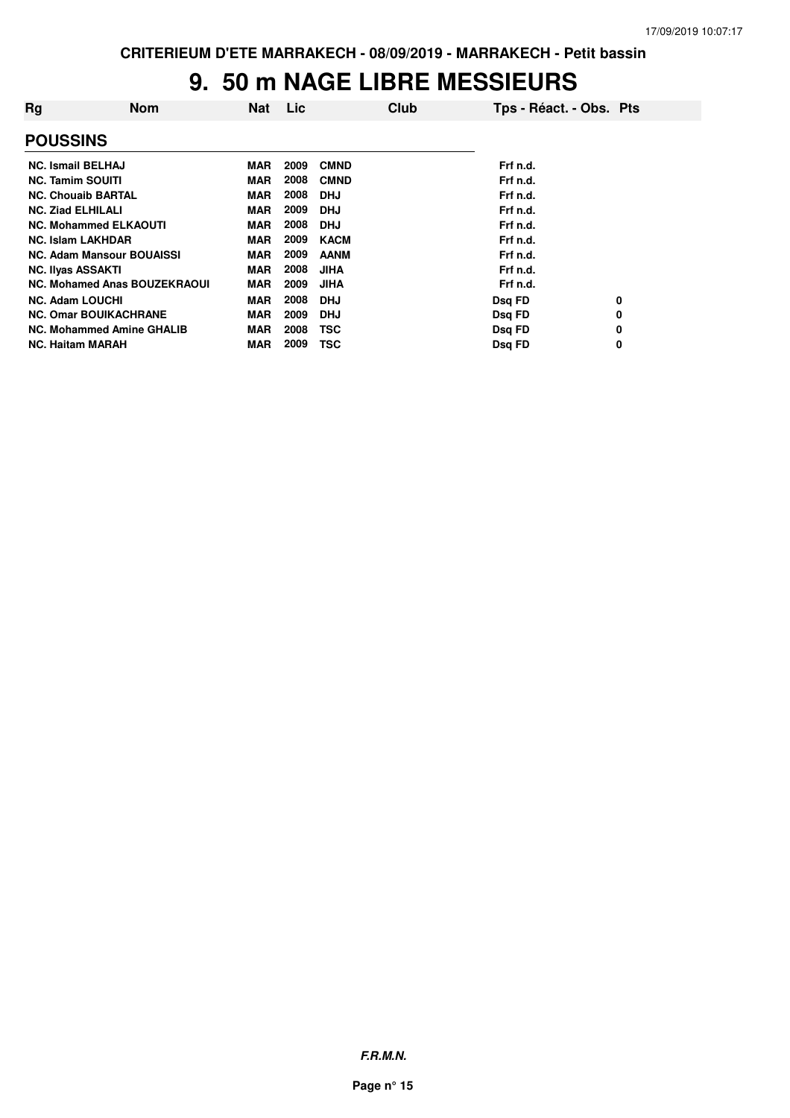| Rg                       | <b>Nom</b>                          | <b>Nat</b> | <b>Lic</b> | Club        | Tps - Réact. - Obs. Pts |   |
|--------------------------|-------------------------------------|------------|------------|-------------|-------------------------|---|
| <b>POUSSINS</b>          |                                     |            |            |             |                         |   |
| <b>NC. Ismail BELHAJ</b> |                                     | <b>MAR</b> | 2009       | <b>CMND</b> | Frf n.d.                |   |
| <b>NC. Tamim SOUITI</b>  |                                     | <b>MAR</b> | 2008       | <b>CMND</b> | Frf n.d.                |   |
|                          | <b>NC. Chouaib BARTAL</b>           | <b>MAR</b> | 2008       | <b>DHJ</b>  | Frf n.d.                |   |
| <b>NC. Ziad ELHILALI</b> |                                     | <b>MAR</b> | 2009       | <b>DHJ</b>  | Frf n.d.                |   |
|                          | <b>NC. Mohammed ELKAOUTI</b>        | <b>MAR</b> | 2008       | <b>DHJ</b>  | Frf n.d.                |   |
| <b>NC. Islam LAKHDAR</b> |                                     | <b>MAR</b> | 2009       | <b>KACM</b> | Frf n.d.                |   |
|                          | <b>NC. Adam Mansour BOUAISSI</b>    | <b>MAR</b> | 2009       | <b>AANM</b> | Frf n.d.                |   |
| <b>NC. Ilyas ASSAKTI</b> |                                     | <b>MAR</b> | 2008       | <b>JIHA</b> | Frf n.d.                |   |
|                          | <b>NC. Mohamed Anas BOUZEKRAOUI</b> | <b>MAR</b> | 2009       | <b>JIHA</b> | Frf n.d.                |   |
| <b>NC. Adam LOUCHI</b>   |                                     | <b>MAR</b> | 2008       | <b>DHJ</b>  | Dsg FD                  | 0 |
|                          | <b>NC. Omar BOUIKACHRANE</b>        | <b>MAR</b> | 2009       | <b>DHJ</b>  | Dsq FD                  | 0 |
|                          | <b>NC. Mohammed Amine GHALIB</b>    | <b>MAR</b> | 2008       | <b>TSC</b>  | Dsq FD                  | 0 |
| <b>NC. Haitam MARAH</b>  |                                     | <b>MAR</b> | 2009       | TSC         | Dsg FD                  | 0 |

**F.R.M.N.**

**Page n° 15**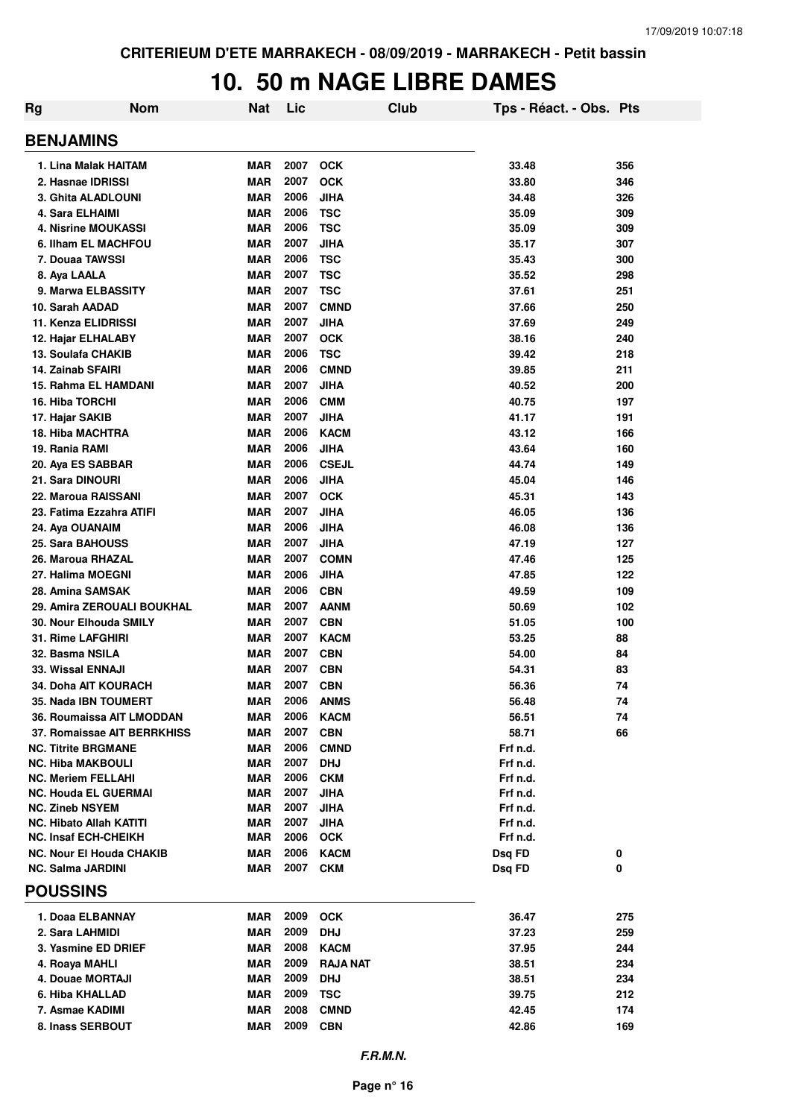### **10. 50 m NAGE LIBRE DAMES**

| <b>Rg</b> | <b>Nom</b>                                                    | Nat                      | Lic          |                            | Club | Tps - Réact. - Obs. Pts |            |
|-----------|---------------------------------------------------------------|--------------------------|--------------|----------------------------|------|-------------------------|------------|
|           | <b>BENJAMINS</b>                                              |                          |              |                            |      |                         |            |
|           | 1. Lina Malak HAITAM                                          | <b>MAR</b>               | 2007         | <b>OCK</b>                 |      | 33.48                   | 356        |
|           | 2. Hasnae IDRISSI                                             | <b>MAR</b>               | 2007         | <b>OCK</b>                 |      | 33.80                   | 346        |
|           | 3. Ghita ALADLOUNI                                            | <b>MAR</b>               | 2006         | <b>JIHA</b>                |      | 34.48                   | 326        |
|           | 4. Sara ELHAIMI                                               | <b>MAR</b>               | 2006         | <b>TSC</b>                 |      | 35.09                   | 309        |
|           | <b>4. Nisrine MOUKASSI</b>                                    | <b>MAR</b>               | 2006         | <b>TSC</b>                 |      | 35.09                   | 309        |
|           | 6. Ilham EL MACHFOU                                           | <b>MAR</b>               | 2007         | <b>JIHA</b>                |      | 35.17                   | 307        |
|           | 7. Douaa TAWSSI                                               | <b>MAR</b>               | 2006         | <b>TSC</b>                 |      | 35.43                   | 300        |
|           | 8. Aya LAALA                                                  | <b>MAR</b>               | 2007         | <b>TSC</b>                 |      | 35.52                   | 298        |
|           | 9. Marwa ELBASSITY                                            | <b>MAR</b>               | 2007         | <b>TSC</b>                 |      | 37.61                   | 251        |
|           | 10. Sarah AADAD                                               | <b>MAR</b>               | 2007         | <b>CMND</b>                |      | 37.66                   | 250        |
|           | 11. Kenza ELIDRISSI                                           | <b>MAR</b>               | 2007         | JIHA                       |      | 37.69                   | 249        |
|           | 12. Hajar ELHALABY                                            | <b>MAR</b>               | 2007<br>2006 | <b>OCK</b>                 |      | 38.16                   | 240        |
|           | 13. Soulafa CHAKIB<br>14. Zainab SFAIRI                       | <b>MAR</b><br><b>MAR</b> | 2006         | <b>TSC</b><br><b>CMND</b>  |      | 39.42                   | 218        |
|           | 15. Rahma EL HAMDANI                                          | <b>MAR</b>               | 2007         | JIHA                       |      | 39.85<br>40.52          | 211<br>200 |
|           | <b>16. Hiba TORCHI</b>                                        | <b>MAR</b>               | 2006         | <b>CMM</b>                 |      | 40.75                   | 197        |
|           | 17. Hajar SAKIB                                               | <b>MAR</b>               | 2007         | JIHA                       |      | 41.17                   | 191        |
|           | 18. Hiba MACHTRA                                              | <b>MAR</b>               | 2006         | <b>KACM</b>                |      | 43.12                   | 166        |
|           | 19. Rania RAMI                                                | <b>MAR</b>               | 2006         | JIHA                       |      | 43.64                   | 160        |
|           | 20. Aya ES SABBAR                                             | <b>MAR</b>               | 2006         | <b>CSEJL</b>               |      | 44.74                   | 149        |
|           | 21. Sara DINOURI                                              | <b>MAR</b>               | 2006         | JIHA                       |      | 45.04                   | 146        |
|           | 22. Maroua RAISSANI                                           | <b>MAR</b>               | 2007         | <b>OCK</b>                 |      | 45.31                   | 143        |
|           | 23. Fatima Ezzahra ATIFI                                      | <b>MAR</b>               | 2007         | <b>JIHA</b>                |      | 46.05                   | 136        |
|           | 24. Aya OUANAIM                                               | <b>MAR</b>               | 2006         | <b>JIHA</b>                |      | 46.08                   | 136        |
|           | 25. Sara BAHOUSS                                              | <b>MAR</b>               | 2007         | <b>JIHA</b>                |      | 47.19                   | 127        |
|           | 26. Maroua RHAZAL                                             | <b>MAR</b>               | 2007         | <b>COMN</b>                |      | 47.46                   | 125        |
|           | 27. Halima MOEGNI                                             | <b>MAR</b>               | 2006         | <b>JIHA</b>                |      | 47.85                   | 122        |
|           | 28. Amina SAMSAK                                              | <b>MAR</b>               | 2006         | <b>CBN</b>                 |      | 49.59                   | 109        |
|           | 29. Amira ZEROUALI BOUKHAL                                    | <b>MAR</b>               | 2007         | <b>AANM</b>                |      | 50.69                   | 102        |
|           | 30. Nour Elhouda SMILY                                        | <b>MAR</b>               | 2007         | <b>CBN</b>                 |      | 51.05                   | 100        |
|           | <b>31. Rime LAFGHIRI</b>                                      | <b>MAR</b>               | 2007         | <b>KACM</b>                |      | 53.25                   | 88         |
|           | 32. Basma NSILA                                               | <b>MAR</b>               | 2007         | <b>CBN</b>                 |      | 54.00                   | 84         |
|           | 33. Wissal ENNAJI                                             | <b>MAR</b>               | 2007         | <b>CBN</b>                 |      | 54.31                   | 83         |
|           | 34. Doha AIT KOURACH                                          | <b>MAR</b>               | 2007         | <b>CBN</b>                 |      | 56.36                   | 74         |
|           | 35. Nada IBN TOUMERT                                          | <b>MAR</b>               | 2006         | <b>ANMS</b>                |      | 56.48                   | 74         |
|           | 36. Roumaissa AIT LMODDAN                                     | <b>MAR</b>               | 2006         | <b>KACM</b>                |      | 56.51                   | 74         |
|           | 37. Romaissae AIT BERRKHISS                                   | <b>MAR</b>               | 2007         | <b>CBN</b>                 |      | 58.71                   | 66         |
|           | <b>NC. Titrite BRGMANE</b>                                    | <b>MAR</b>               | 2006         | <b>CMND</b>                |      | Frf n.d.                |            |
|           | <b>NC. Hiba MAKBOULI</b>                                      | <b>MAR</b>               | 2007         | <b>DHJ</b>                 |      | Frf n.d.                |            |
|           | <b>NC. Meriem FELLAHI</b>                                     | <b>MAR</b>               | 2006         | <b>CKM</b>                 |      | Frf n.d.                |            |
|           | <b>NC. Houda EL GUERMAI</b>                                   | <b>MAR</b>               | 2007         | <b>JIHA</b>                |      | Frf n.d.                |            |
|           | <b>NC. Zineb NSYEM</b>                                        | <b>MAR</b>               | 2007<br>2007 | <b>JIHA</b><br><b>JIHA</b> |      | Frf n.d.                |            |
|           | <b>NC. Hibato Allah KATITI</b><br><b>NC. Insaf ECH-CHEIKH</b> | <b>MAR</b><br><b>MAR</b> | 2006         | <b>OCK</b>                 |      | Frf n.d.<br>Frf n.d.    |            |
|           | <b>NC. Nour El Houda CHAKIB</b>                               | <b>MAR</b>               | 2006         | <b>KACM</b>                |      | Dsq FD                  | 0          |
|           | <b>NC. Salma JARDINI</b>                                      | <b>MAR</b>               | 2007         | <b>CKM</b>                 |      | Dsq FD                  | 0          |
|           | <b>POUSSINS</b>                                               |                          |              |                            |      |                         |            |
|           | 1. Doaa ELBANNAY                                              | <b>MAR</b>               | 2009         | <b>OCK</b>                 |      | 36.47                   | 275        |
|           | 2. Sara LAHMIDI                                               | <b>MAR</b>               | 2009         | <b>DHJ</b>                 |      | 37.23                   | 259        |
|           | 3. Yasmine ED DRIEF                                           | <b>MAR</b>               | 2008         | <b>KACM</b>                |      | 37.95                   | 244        |
|           | 4. Roaya MAHLI                                                | <b>MAR</b>               | 2009         | <b>RAJA NAT</b>            |      | 38.51                   | 234        |
|           | 4. Douae MORTAJI                                              | <b>MAR</b>               | 2009         | <b>DHJ</b>                 |      | 38.51                   | 234        |
|           | 6. Hiba KHALLAD                                               | <b>MAR</b>               | 2009         | <b>TSC</b>                 |      | 39.75                   | 212        |
|           | 7. Asmae KADIMI                                               | <b>MAR</b>               | 2008         | <b>CMND</b>                |      | 42.45                   | 174        |
|           | 8. Inass SERBOUT                                              | <b>MAR</b>               | 2009         | <b>CBN</b>                 |      | 42.86                   | 169        |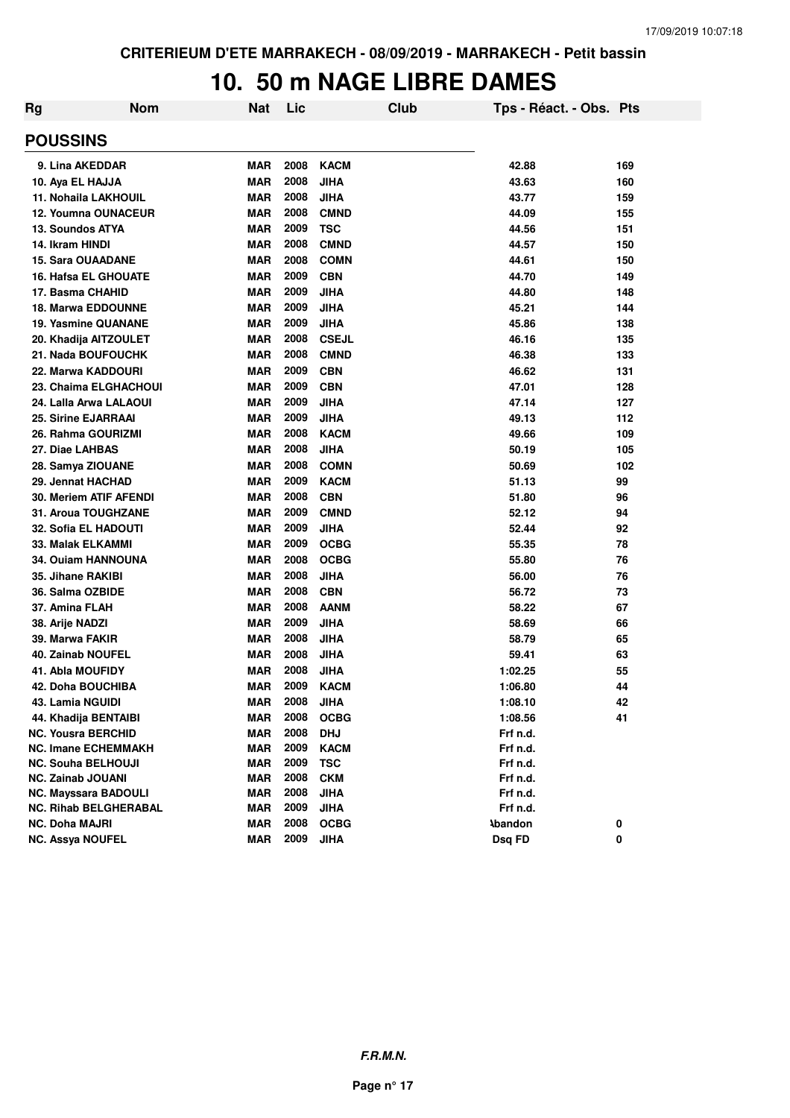#### **10. 50 m NAGE LIBRE DAMES**

| <b>Rg</b> | <b>Nom</b>                   | <b>Nat</b> | Lic  | Club         | Tps - Réact. - Obs. Pts |     |
|-----------|------------------------------|------------|------|--------------|-------------------------|-----|
|           | <b>POUSSINS</b>              |            |      |              |                         |     |
|           | 9. Lina AKEDDAR              | <b>MAR</b> | 2008 | <b>KACM</b>  | 42.88                   | 169 |
|           | 10. Aya EL HAJJA             | <b>MAR</b> | 2008 | <b>JIHA</b>  | 43.63                   | 160 |
|           | 11. Nohaila LAKHOUIL         | <b>MAR</b> | 2008 | <b>JIHA</b>  | 43.77                   | 159 |
|           | 12. Youmna OUNACEUR          | <b>MAR</b> | 2008 | <b>CMND</b>  | 44.09                   | 155 |
|           | 13. Soundos ATYA             | <b>MAR</b> | 2009 | <b>TSC</b>   | 44.56                   | 151 |
|           | 14. Ikram HINDI              | <b>MAR</b> | 2008 | <b>CMND</b>  | 44.57                   | 150 |
|           | <b>15. Sara OUAADANE</b>     | <b>MAR</b> | 2008 | <b>COMN</b>  | 44.61                   | 150 |
|           | 16. Hafsa EL GHOUATE         | <b>MAR</b> | 2009 | <b>CBN</b>   | 44.70                   | 149 |
|           | 17. Basma CHAHID             | <b>MAR</b> | 2009 | <b>JIHA</b>  | 44.80                   | 148 |
|           | <b>18. Marwa EDDOUNNE</b>    | <b>MAR</b> | 2009 | JIHA         | 45.21                   | 144 |
|           | <b>19. Yasmine QUANANE</b>   | <b>MAR</b> | 2009 | <b>JIHA</b>  | 45.86                   | 138 |
|           | 20. Khadija AITZOULET        | <b>MAR</b> | 2008 | <b>CSEJL</b> | 46.16                   | 135 |
|           | 21. Nada BOUFOUCHK           | <b>MAR</b> | 2008 | <b>CMND</b>  | 46.38                   | 133 |
|           | 22. Marwa KADDOURI           | <b>MAR</b> | 2009 | <b>CBN</b>   | 46.62                   | 131 |
|           | 23. Chaima ELGHACHOUI        | <b>MAR</b> | 2009 | <b>CBN</b>   | 47.01                   | 128 |
|           | 24. Lalla Arwa LALAOUI       | <b>MAR</b> | 2009 | <b>JIHA</b>  | 47.14                   | 127 |
|           | 25. Sirine EJARRAAI          | <b>MAR</b> | 2009 | <b>JIHA</b>  | 49.13                   | 112 |
|           | 26. Rahma GOURIZMI           | <b>MAR</b> | 2008 | <b>KACM</b>  | 49.66                   | 109 |
|           | 27. Diae LAHBAS              | <b>MAR</b> | 2008 | <b>JIHA</b>  | 50.19                   | 105 |
|           | 28. Samya ZIOUANE            | <b>MAR</b> | 2008 | <b>COMN</b>  | 50.69                   | 102 |
|           | 29. Jennat HACHAD            | <b>MAR</b> | 2009 | <b>KACM</b>  | 51.13                   | 99  |
|           | 30. Meriem ATIF AFENDI       | <b>MAR</b> | 2008 | <b>CBN</b>   | 51.80                   | 96  |
|           | 31. Aroua TOUGHZANE          | <b>MAR</b> | 2009 | <b>CMND</b>  | 52.12                   | 94  |
|           | 32. Sofia EL HADOUTI         | <b>MAR</b> | 2009 | <b>JIHA</b>  | 52.44                   | 92  |
|           | 33. Malak ELKAMMI            | <b>MAR</b> | 2009 | <b>OCBG</b>  | 55.35                   | 78  |
|           | <b>34. Ouiam HANNOUNA</b>    | <b>MAR</b> | 2008 | <b>OCBG</b>  | 55.80                   | 76  |
|           | 35. Jihane RAKIBI            | <b>MAR</b> | 2008 | <b>JIHA</b>  | 56.00                   | 76  |
|           | 36. Salma OZBIDE             | <b>MAR</b> | 2008 | <b>CBN</b>   | 56.72                   | 73  |
|           | 37. Amina FLAH               | <b>MAR</b> | 2008 | <b>AANM</b>  | 58.22                   | 67  |
|           | 38. Arije NADZI              | <b>MAR</b> | 2009 | <b>JIHA</b>  | 58.69                   | 66  |
|           | 39. Marwa FAKIR              | <b>MAR</b> | 2008 | <b>JIHA</b>  | 58.79                   | 65  |
|           | 40. Zainab NOUFEL            | <b>MAR</b> | 2008 | <b>JIHA</b>  | 59.41                   | 63  |
|           | 41. Abla MOUFIDY             | <b>MAR</b> | 2008 | <b>JIHA</b>  | 1:02.25                 | 55  |
|           | 42. Doha BOUCHIBA            | <b>MAR</b> | 2009 | <b>KACM</b>  | 1:06.80                 | 44  |
|           | 43. Lamia NGUIDI             | <b>MAR</b> | 2008 | <b>JIHA</b>  | 1:08.10                 | 42  |
|           | 44. Khadija BENTAIBI         | <b>MAR</b> | 2008 | <b>OCBG</b>  | 1:08.56                 | 41  |
|           | <b>NC. Yousra BERCHID</b>    | <b>MAR</b> | 2008 | <b>DHJ</b>   | Frf n.d.                |     |
|           | <b>NC. Imane ECHEMMAKH</b>   | <b>MAR</b> | 2009 | <b>KACM</b>  | Frf n.d.                |     |
|           | <b>NC. Souha BELHOUJI</b>    | <b>MAR</b> | 2009 | <b>TSC</b>   | Frf n.d.                |     |
|           | NC. Zainab JOUANI            | <b>MAR</b> | 2008 | <b>CKM</b>   | Frf n.d.                |     |
|           | <b>NC. Mayssara BADOULI</b>  | <b>MAR</b> | 2008 | <b>JIHA</b>  | Frf n.d.                |     |
|           | <b>NC. Rihab BELGHERABAL</b> | <b>MAR</b> | 2009 | <b>JIHA</b>  | Frf n.d.                |     |
|           | <b>NC. Doha MAJRI</b>        | <b>MAR</b> | 2008 | <b>OCBG</b>  | <b>\bandon</b>          | 0   |
|           | <b>NC. Assya NOUFEL</b>      | <b>MAR</b> | 2009 | <b>JIHA</b>  | Dsq FD                  | 0   |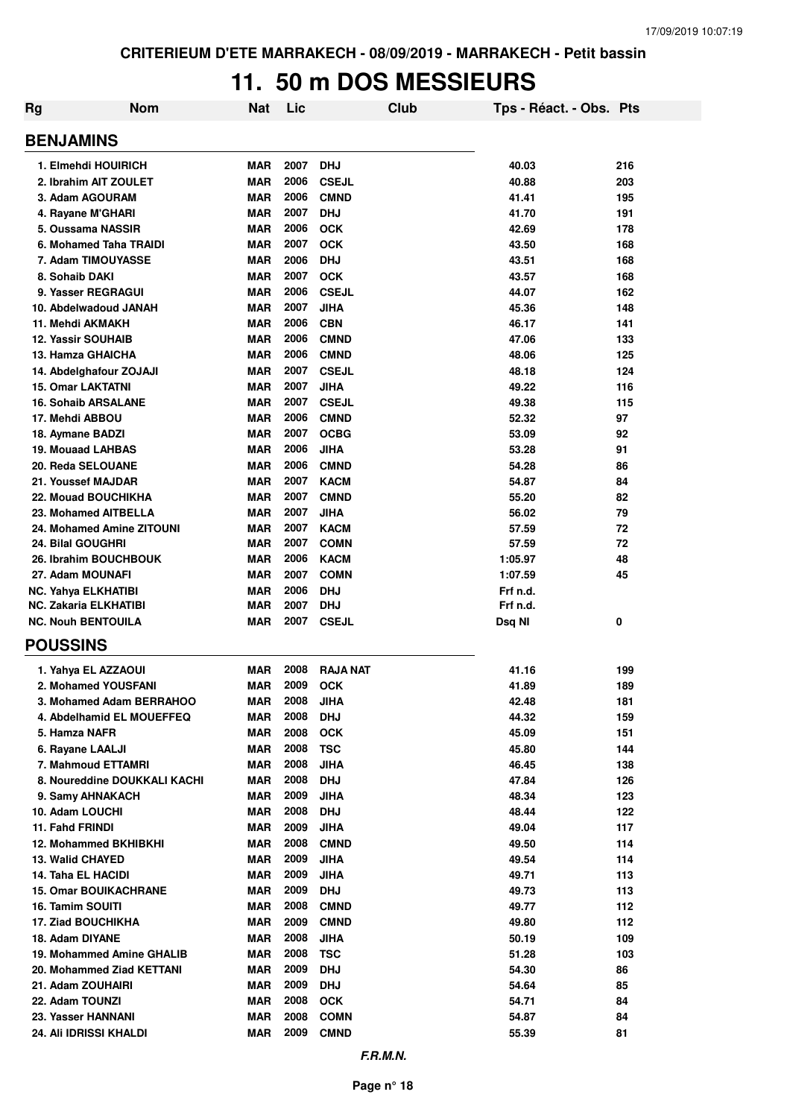### **11. 50 m DOS MESSIEURS**

| Rg | <b>Nom</b>                                            | Nat                      | Lic          | Club                       | Tps - Réact. - Obs. Pts |            |
|----|-------------------------------------------------------|--------------------------|--------------|----------------------------|-------------------------|------------|
|    | <b>BENJAMINS</b>                                      |                          |              |                            |                         |            |
|    | 1. Elmehdi HOUIRICH                                   | <b>MAR</b>               | 2007         | <b>DHJ</b>                 | 40.03                   | 216        |
|    | 2. Ibrahim AIT ZOULET                                 | <b>MAR</b>               | 2006         | <b>CSEJL</b>               | 40.88                   | 203        |
|    | 3. Adam AGOURAM                                       | <b>MAR</b>               | 2006         | <b>CMND</b>                | 41.41                   | 195        |
|    | 4. Rayane M'GHARI                                     | <b>MAR</b>               | 2007         | <b>DHJ</b>                 | 41.70                   | 191        |
|    | 5. Oussama NASSIR                                     | <b>MAR</b>               | 2006         | <b>OCK</b>                 | 42.69                   | 178        |
|    | 6. Mohamed Taha TRAIDI                                | <b>MAR</b>               | 2007         | <b>OCK</b>                 | 43.50                   | 168        |
|    | 7. Adam TIMOUYASSE                                    | <b>MAR</b>               | 2006         | <b>DHJ</b>                 | 43.51                   | 168        |
|    | 8. Sohaib DAKI                                        | <b>MAR</b>               | 2007         | <b>OCK</b>                 | 43.57                   | 168        |
|    | 9. Yasser REGRAGUI                                    | <b>MAR</b>               | 2006<br>2007 | <b>CSEJL</b>               | 44.07                   | 162        |
|    | 10. Abdelwadoud JANAH<br>11. Mehdi AKMAKH             | <b>MAR</b><br><b>MAR</b> | 2006         | <b>JIHA</b><br><b>CBN</b>  | 45.36<br>46.17          | 148<br>141 |
|    | <b>12. Yassir SOUHAIB</b>                             | <b>MAR</b>               | 2006         | <b>CMND</b>                | 47.06                   | 133        |
|    | 13. Hamza GHAICHA                                     | <b>MAR</b>               | 2006         | <b>CMND</b>                | 48.06                   | 125        |
|    | 14. Abdelghafour ZOJAJI                               | <b>MAR</b>               | 2007         | <b>CSEJL</b>               | 48.18                   | 124        |
|    | <b>15. Omar LAKTATNI</b>                              | <b>MAR</b>               | 2007         | <b>JIHA</b>                | 49.22                   | 116        |
|    | <b>16. Sohaib ARSALANE</b>                            | <b>MAR</b>               | 2007         | <b>CSEJL</b>               | 49.38                   | 115        |
|    | 17. Mehdi ABBOU                                       | <b>MAR</b>               | 2006         | <b>CMND</b>                | 52.32                   | 97         |
|    | 18. Aymane BADZI                                      | <b>MAR</b>               | 2007         | <b>OCBG</b>                | 53.09                   | 92         |
|    | <b>19. Mouaad LAHBAS</b>                              | <b>MAR</b>               | 2006         | <b>JIHA</b>                | 53.28                   | 91         |
|    | 20. Reda SELOUANE                                     | <b>MAR</b>               | 2006         | <b>CMND</b>                | 54.28                   | 86         |
|    | 21. Youssef MAJDAR                                    | <b>MAR</b>               | 2007         | <b>KACM</b>                | 54.87                   | 84         |
|    | 22. Mouad BOUCHIKHA                                   | <b>MAR</b>               | 2007         | <b>CMND</b>                | 55.20                   | 82         |
|    | 23. Mohamed AITBELLA                                  | <b>MAR</b>               | 2007         | <b>JIHA</b>                | 56.02                   | 79         |
|    | 24. Mohamed Amine ZITOUNI<br><b>24. Bilal GOUGHRI</b> | <b>MAR</b><br><b>MAR</b> | 2007<br>2007 | <b>KACM</b><br><b>COMN</b> | 57.59<br>57.59          | 72<br>72   |
|    | 26. Ibrahim BOUCHBOUK                                 | <b>MAR</b>               | 2006         | <b>KACM</b>                | 1:05.97                 | 48         |
|    | 27. Adam MOUNAFI                                      | <b>MAR</b>               | 2007         | <b>COMN</b>                | 1:07.59                 | 45         |
|    | <b>NC. Yahya ELKHATIBI</b>                            | <b>MAR</b>               | 2006         | <b>DHJ</b>                 | Frf n.d.                |            |
|    | <b>NC. Zakaria ELKHATIBI</b>                          | <b>MAR</b>               | 2007         | <b>DHJ</b>                 | Frf n.d.                |            |
|    | <b>NC. Nouh BENTOUILA</b>                             | <b>MAR</b>               | 2007         | <b>CSEJL</b>               | Dsq NI                  | 0          |
|    | <b>POUSSINS</b>                                       |                          |              |                            |                         |            |
|    | 1. Yahya EL AZZAOUI                                   | <b>MAR</b>               | 2008         | <b>RAJA NAT</b>            | 41.16                   | 199        |
|    | 2. Mohamed YOUSFANI                                   | <b>MAR</b>               | 2009         | <b>OCK</b>                 | 41.89                   | 189        |
|    | 3. Mohamed Adam BERRAHOO                              | MAR                      | 2008         | <b>JIHA</b>                | 42.48                   | 181        |
|    | 4. Abdelhamid EL MOUEFFEQ                             | <b>MAR</b>               | 2008         | <b>DHJ</b>                 | 44.32                   | 159        |
|    | 5. Hamza NAFR                                         | <b>MAR</b>               | 2008         | <b>OCK</b>                 | 45.09                   | 151        |
|    | 6. Rayane LAALJI                                      | <b>MAR</b>               | 2008         | <b>TSC</b>                 | 45.80                   | 144        |
|    | 7. Mahmoud ETTAMRI<br>8. Noureddine DOUKKALI KACHI    | <b>MAR</b><br><b>MAR</b> | 2008<br>2008 | <b>JIHA</b><br><b>DHJ</b>  | 46.45<br>47.84          | 138<br>126 |
|    | 9. Samy AHNAKACH                                      | <b>MAR</b>               | 2009         | <b>JIHA</b>                | 48.34                   | 123        |
|    | 10. Adam LOUCHI                                       | <b>MAR</b>               | 2008         | <b>DHJ</b>                 | 48.44                   | 122        |
|    | 11. Fahd FRINDI                                       | <b>MAR</b>               | 2009         | <b>JIHA</b>                | 49.04                   | 117        |
|    | <b>12. Mohammed BKHIBKHI</b>                          | <b>MAR</b>               | 2008         | <b>CMND</b>                | 49.50                   | 114        |
|    | <b>13. Walid CHAYED</b>                               | <b>MAR</b>               | 2009         | <b>JIHA</b>                | 49.54                   | 114        |
|    | 14. Taha EL HACIDI                                    | <b>MAR</b>               | 2009         | <b>JIHA</b>                | 49.71                   | 113        |
|    | <b>15. Omar BOUIKACHRANE</b>                          | <b>MAR</b>               | 2009         | <b>DHJ</b>                 | 49.73                   | 113        |
|    | 16. Tamim SOUITI                                      | <b>MAR</b>               | 2008         | <b>CMND</b>                | 49.77                   | 112        |
|    | <b>17. Ziad BOUCHIKHA</b>                             | <b>MAR</b>               | 2009         | <b>CMND</b>                | 49.80                   | 112        |
|    | 18. Adam DIYANE                                       | <b>MAR</b>               | 2008         | <b>JIHA</b>                | 50.19                   | 109        |
|    | 19. Mohammed Amine GHALIB                             | <b>MAR</b>               | 2008         | <b>TSC</b>                 | 51.28                   | 103        |
|    | 20. Mohammed Ziad KETTANI                             | <b>MAR</b>               | 2009         | <b>DHJ</b>                 | 54.30                   | 86         |
|    | 21. Adam ZOUHAIRI                                     | <b>MAR</b>               | 2009         | <b>DHJ</b>                 | 54.64                   | 85         |
|    | 22. Adam TOUNZI<br>23. Yasser HANNANI                 | <b>MAR</b><br><b>MAR</b> | 2008<br>2008 | <b>OCK</b><br><b>COMN</b>  | 54.71<br>54.87          | 84<br>84   |
|    | 24. Ali IDRISSI KHALDI                                | <b>MAR</b>               | 2009         | <b>CMND</b>                | 55.39                   | 81         |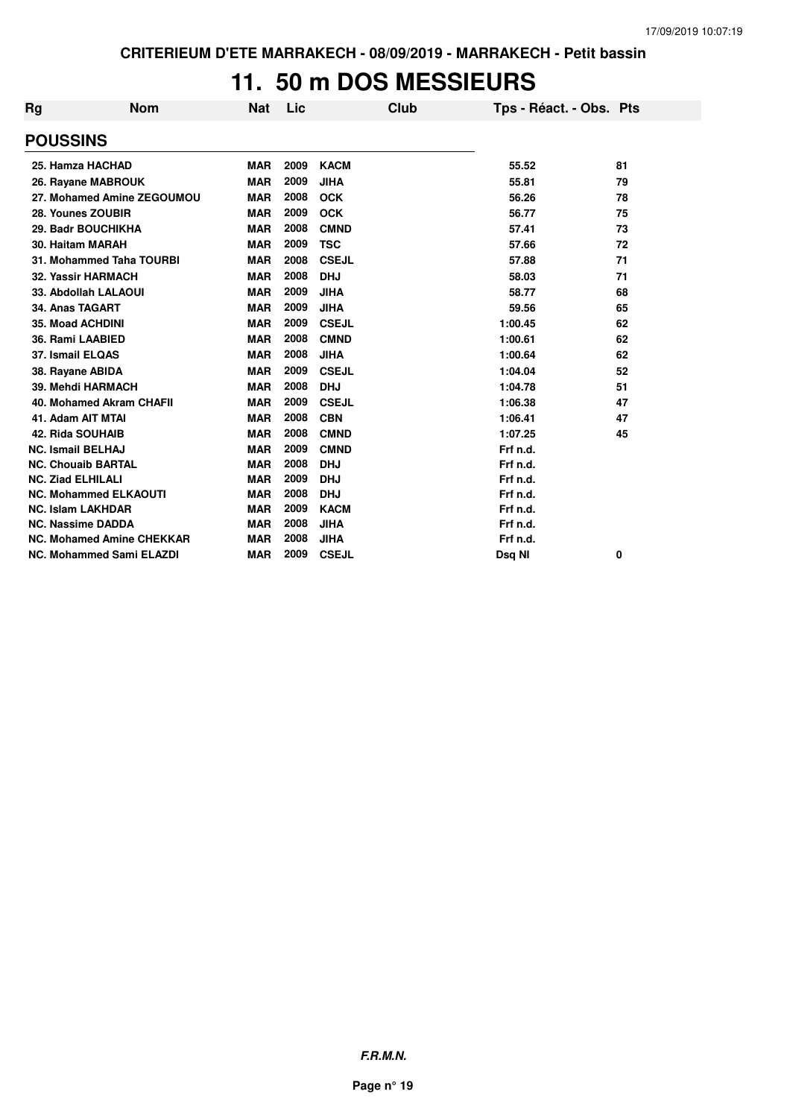### **11. 50 m DOS MESSIEURS**

| <b>Rg</b>                | <b>Nom</b>                       | <b>Nat</b> | Lic  | Club         | Tps - Réact. - Obs. Pts |    |
|--------------------------|----------------------------------|------------|------|--------------|-------------------------|----|
| <b>POUSSINS</b>          |                                  |            |      |              |                         |    |
|                          | 25. Hamza HACHAD                 | <b>MAR</b> | 2009 | <b>KACM</b>  | 55.52                   | 81 |
|                          | 26. Rayane MABROUK               | <b>MAR</b> | 2009 | <b>JIHA</b>  | 55.81                   | 79 |
|                          | 27. Mohamed Amine ZEGOUMOU       | <b>MAR</b> | 2008 | <b>OCK</b>   | 56.26                   | 78 |
|                          | 28. Younes ZOUBIR                | <b>MAR</b> | 2009 | <b>OCK</b>   | 56.77                   | 75 |
|                          | 29. Badr BOUCHIKHA               | <b>MAR</b> | 2008 | <b>CMND</b>  | 57.41                   | 73 |
|                          | 30. Haitam MARAH                 | <b>MAR</b> | 2009 | <b>TSC</b>   | 57.66                   | 72 |
|                          | 31. Mohammed Taha TOURBI         | <b>MAR</b> | 2008 | <b>CSEJL</b> | 57.88                   | 71 |
|                          | <b>32. Yassir HARMACH</b>        | <b>MAR</b> | 2008 | <b>DHJ</b>   | 58.03                   | 71 |
|                          | 33. Abdollah LALAOUI             | <b>MAR</b> | 2009 | <b>JIHA</b>  | 58.77                   | 68 |
| 34. Anas TAGART          |                                  | <b>MAR</b> | 2009 | <b>JIHA</b>  | 59.56                   | 65 |
|                          | <b>35. Moad ACHDINI</b>          | <b>MAR</b> | 2009 | <b>CSEJL</b> | 1:00.45                 | 62 |
|                          | 36. Rami LAABIED                 | <b>MAR</b> | 2008 | <b>CMND</b>  | 1:00.61                 | 62 |
| 37. Ismail ELQAS         |                                  | <b>MAR</b> | 2008 | <b>JIHA</b>  | 1:00.64                 | 62 |
| 38. Rayane ABIDA         |                                  | <b>MAR</b> | 2009 | <b>CSEJL</b> | 1:04.04                 | 52 |
|                          | 39. Mehdi HARMACH                | <b>MAR</b> | 2008 | <b>DHJ</b>   | 1:04.78                 | 51 |
|                          | 40. Mohamed Akram CHAFII         | <b>MAR</b> | 2009 | <b>CSEJL</b> | 1:06.38                 | 47 |
|                          | 41. Adam AIT MTAI                | <b>MAR</b> | 2008 | <b>CBN</b>   | 1:06.41                 | 47 |
| 42. Rida SOUHAIB         |                                  | <b>MAR</b> | 2008 | <b>CMND</b>  | 1:07.25                 | 45 |
| <b>NC. Ismail BELHAJ</b> |                                  | <b>MAR</b> | 2009 | <b>CMND</b>  | Frf n.d.                |    |
|                          | <b>NC. Chouaib BARTAL</b>        | <b>MAR</b> | 2008 | <b>DHJ</b>   | Frf n.d.                |    |
| <b>NC. Ziad ELHILALI</b> |                                  | <b>MAR</b> | 2009 | <b>DHJ</b>   | Frf n.d.                |    |
|                          | <b>NC. Mohammed ELKAOUTI</b>     | <b>MAR</b> | 2008 | <b>DHJ</b>   | Frf n.d.                |    |
|                          | <b>NC. Islam LAKHDAR</b>         | <b>MAR</b> | 2009 | <b>KACM</b>  | Frf n.d.                |    |
|                          | <b>NC. Nassime DADDA</b>         | <b>MAR</b> | 2008 | <b>JIHA</b>  | Frf n.d.                |    |
|                          | <b>NC. Mohamed Amine CHEKKAR</b> | <b>MAR</b> | 2008 | <b>JIHA</b>  | Frf n.d.                |    |
|                          | <b>NC. Mohammed Sami ELAZDI</b>  | <b>MAR</b> | 2009 | <b>CSEJL</b> | Dsq NI                  | 0  |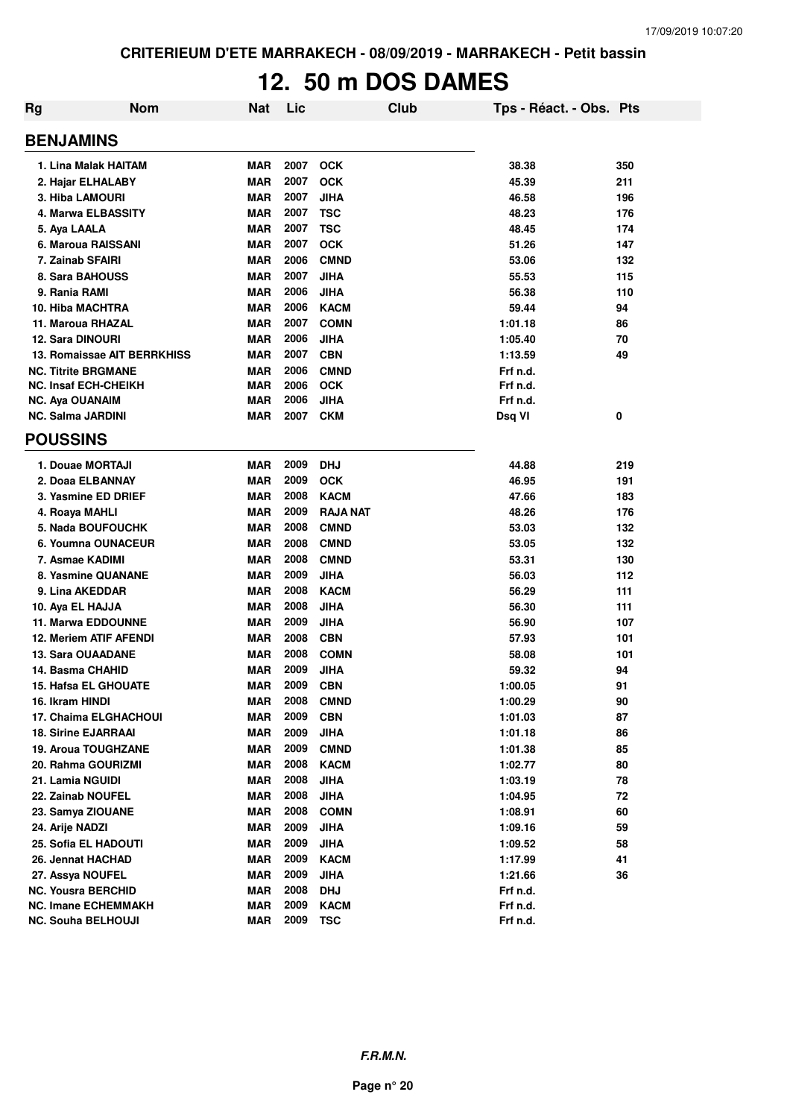# **12. 50 m DOS DAMES**

| Rg | <b>Nom</b>                    | <b>Nat</b> | Lic  | Club            | Tps - Réact. - Obs. Pts |     |
|----|-------------------------------|------------|------|-----------------|-------------------------|-----|
|    | <b>BENJAMINS</b>              |            |      |                 |                         |     |
|    | 1. Lina Malak HAITAM          | <b>MAR</b> | 2007 | <b>OCK</b>      | 38.38                   | 350 |
|    | 2. Hajar ELHALABY             | <b>MAR</b> | 2007 | <b>OCK</b>      | 45.39                   | 211 |
|    | <b>3. Hiba LAMOURI</b>        | <b>MAR</b> | 2007 | <b>JIHA</b>     | 46.58                   | 196 |
|    | 4. Marwa ELBASSITY            | <b>MAR</b> | 2007 | <b>TSC</b>      | 48.23                   | 176 |
|    | 5. Aya LAALA                  | <b>MAR</b> | 2007 | <b>TSC</b>      | 48.45                   | 174 |
|    | 6. Maroua RAISSANI            | <b>MAR</b> | 2007 | <b>OCK</b>      | 51.26                   | 147 |
|    | 7. Zainab SFAIRI              | <b>MAR</b> | 2006 | <b>CMND</b>     | 53.06                   | 132 |
|    | 8. Sara BAHOUSS               | <b>MAR</b> | 2007 | <b>JIHA</b>     | 55.53                   | 115 |
|    | 9. Rania RAMI                 | <b>MAR</b> | 2006 | <b>JIHA</b>     | 56.38                   | 110 |
|    | <b>10. Hiba MACHTRA</b>       | <b>MAR</b> | 2006 | <b>KACM</b>     | 59.44                   | 94  |
|    | 11. Maroua RHAZAL             | <b>MAR</b> | 2007 | <b>COMN</b>     | 1:01.18                 | 86  |
|    | <b>12. Sara DINOURI</b>       | <b>MAR</b> | 2006 | <b>JIHA</b>     | 1:05.40                 | 70  |
|    | 13. Romaissae AIT BERRKHISS   | <b>MAR</b> | 2007 | <b>CBN</b>      | 1:13.59                 | 49  |
|    | <b>NC. Titrite BRGMANE</b>    | <b>MAR</b> | 2006 | <b>CMND</b>     | Frf n.d.                |     |
|    | <b>NC. Insaf ECH-CHEIKH</b>   | <b>MAR</b> | 2006 | <b>OCK</b>      | Frf n.d.                |     |
|    | <b>NC. Aya OUANAIM</b>        | <b>MAR</b> | 2006 | <b>JIHA</b>     | Frf n.d.                |     |
|    | <b>NC. Salma JARDINI</b>      | MAR        | 2007 | <b>CKM</b>      | Dsq VI                  | 0   |
|    | <b>POUSSINS</b>               |            |      |                 |                         |     |
|    | 1. Douae MORTAJI              | <b>MAR</b> | 2009 | <b>DHJ</b>      | 44.88                   | 219 |
|    | 2. Doaa ELBANNAY              | <b>MAR</b> | 2009 | <b>OCK</b>      | 46.95                   | 191 |
|    | 3. Yasmine ED DRIEF           | <b>MAR</b> | 2008 | <b>KACM</b>     | 47.66                   | 183 |
|    | 4. Roaya MAHLI                | <b>MAR</b> | 2009 | <b>RAJA NAT</b> | 48.26                   | 176 |
|    | <b>5. Nada BOUFOUCHK</b>      | <b>MAR</b> | 2008 | <b>CMND</b>     | 53.03                   | 132 |
|    | 6. Youmna OUNACEUR            | <b>MAR</b> | 2008 | <b>CMND</b>     | 53.05                   | 132 |
|    | 7. Asmae KADIMI               | <b>MAR</b> | 2008 | <b>CMND</b>     | 53.31                   | 130 |
|    | 8. Yasmine QUANANE            | <b>MAR</b> | 2009 | <b>JIHA</b>     | 56.03                   | 112 |
|    | 9. Lina AKEDDAR               | <b>MAR</b> | 2008 | <b>KACM</b>     | 56.29                   | 111 |
|    | 10. Aya EL HAJJA              | <b>MAR</b> | 2008 | <b>JIHA</b>     | 56.30                   | 111 |
|    | <b>11. Marwa EDDOUNNE</b>     | <b>MAR</b> | 2009 | <b>JIHA</b>     | 56.90                   | 107 |
|    | <b>12. Meriem ATIF AFENDI</b> | <b>MAR</b> | 2008 | <b>CBN</b>      | 57.93                   | 101 |
|    | <b>13. Sara OUAADANE</b>      | <b>MAR</b> | 2008 | <b>COMN</b>     | 58.08                   | 101 |
|    | 14. Basma CHAHID              | <b>MAR</b> | 2009 | <b>JIHA</b>     | 59.32                   | 94  |
|    | <b>15. Hafsa EL GHOUATE</b>   | <b>MAR</b> | 2009 | <b>CBN</b>      | 1:00.05                 | 91  |
|    | 16. Ikram HINDI               | MAR        | 2008 | <b>CMND</b>     | 1:00.29                 | 90  |
|    | 17. Chaima ELGHACHOUI         | <b>MAR</b> | 2009 | <b>CBN</b>      | 1:01.03                 | 87  |
|    | <b>18. Sirine EJARRAAI</b>    | MAR        | 2009 | <b>JIHA</b>     | 1:01.18                 | 86  |
|    | 19. Aroua TOUGHZANE           | <b>MAR</b> | 2009 | <b>CMND</b>     | 1:01.38                 | 85  |
|    | 20. Rahma GOURIZMI            | <b>MAR</b> | 2008 | <b>KACM</b>     | 1:02.77                 | 80  |
|    | 21. Lamia NGUIDI              | <b>MAR</b> | 2008 | <b>JIHA</b>     | 1:03.19                 | 78  |
|    | 22. Zainab NOUFEL             | <b>MAR</b> | 2008 | <b>JIHA</b>     | 1:04.95                 | 72  |
|    | 23. Samya ZIOUANE             | <b>MAR</b> | 2008 | <b>COMN</b>     | 1:08.91                 | 60  |
|    | 24. Arije NADZI               | <b>MAR</b> | 2009 | <b>JIHA</b>     | 1:09.16                 | 59  |
|    | 25. Sofia EL HADOUTI          | <b>MAR</b> | 2009 | <b>JIHA</b>     | 1:09.52                 | 58  |
|    | 26. Jennat HACHAD             | <b>MAR</b> | 2009 | <b>KACM</b>     | 1:17.99                 | 41  |
|    | 27. Assya NOUFEL              | <b>MAR</b> | 2009 | <b>JIHA</b>     | 1:21.66                 | 36  |
|    | <b>NC. Yousra BERCHID</b>     | <b>MAR</b> | 2008 | <b>DHJ</b>      | Frf n.d.                |     |
|    | <b>NC. Imane ECHEMMAKH</b>    | <b>MAR</b> | 2009 | <b>KACM</b>     | Frf n.d.                |     |
|    | <b>NC. Souha BELHOUJI</b>     | <b>MAR</b> | 2009 | <b>TSC</b>      | Frf n.d.                |     |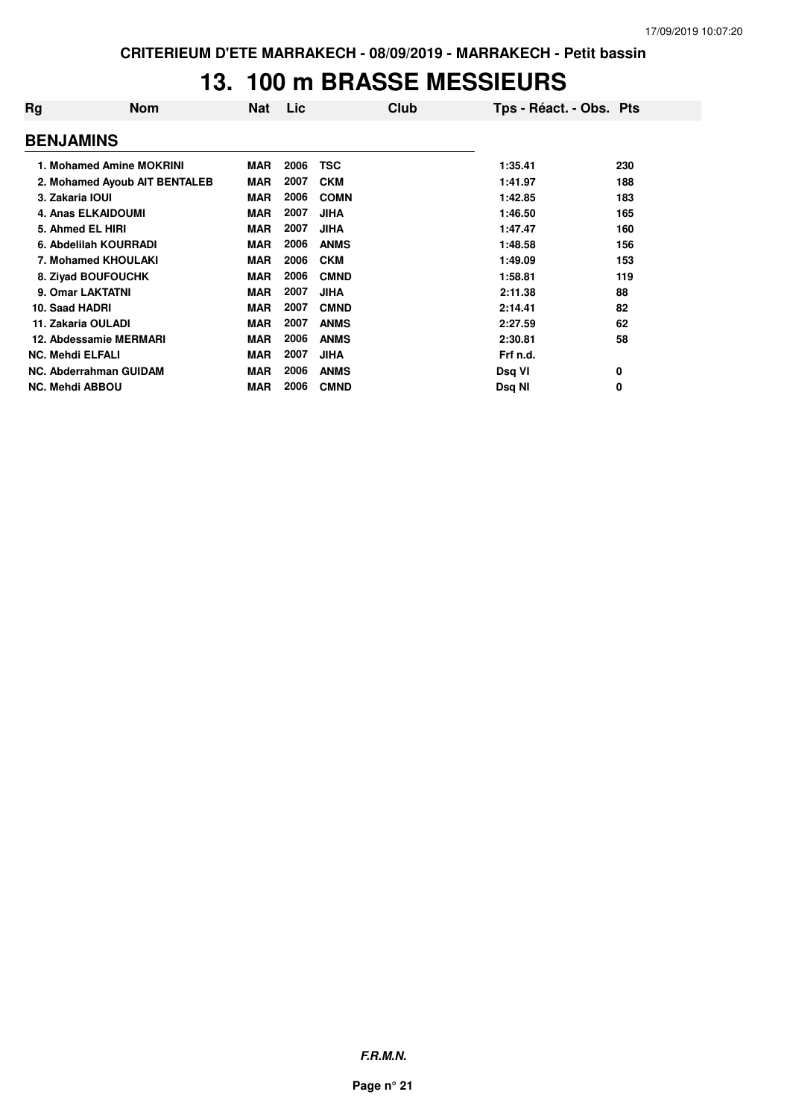### **13. 100 m BRASSE MESSIEURS**

| Rg                      | <b>Nom</b>                    | Nat        | Lic  | Club        | Tps - Réact. - Obs. Pts |     |
|-------------------------|-------------------------------|------------|------|-------------|-------------------------|-----|
| <b>BENJAMINS</b>        |                               |            |      |             |                         |     |
|                         | 1. Mohamed Amine MOKRINI      | <b>MAR</b> | 2006 | <b>TSC</b>  | 1:35.41                 | 230 |
|                         | 2. Mohamed Ayoub AIT BENTALEB | <b>MAR</b> | 2007 | <b>CKM</b>  | 1:41.97                 | 188 |
| 3. Zakaria IOUI         |                               | <b>MAR</b> | 2006 | <b>COMN</b> | 1:42.85                 | 183 |
|                         | <b>4. Anas ELKAIDOUMI</b>     | <b>MAR</b> | 2007 | <b>JIHA</b> | 1:46.50                 | 165 |
|                         | 5. Ahmed EL HIRI              | <b>MAR</b> | 2007 | <b>JIHA</b> | 1:47.47                 | 160 |
|                         | 6. Abdelilah KOURRADI         | <b>MAR</b> | 2006 | <b>ANMS</b> | 1:48.58                 | 156 |
|                         | 7. Mohamed KHOULAKI           | <b>MAR</b> | 2006 | <b>CKM</b>  | 1:49.09                 | 153 |
|                         | 8. Ziyad BOUFOUCHK            | <b>MAR</b> | 2006 | <b>CMND</b> | 1:58.81                 | 119 |
|                         | 9. Omar LAKTATNI              | <b>MAR</b> | 2007 | <b>JIHA</b> | 2:11.38                 | 88  |
| 10. Saad HADRI          |                               | <b>MAR</b> | 2007 | <b>CMND</b> | 2:14.41                 | 82  |
|                         | 11. Zakaria OULADI            | <b>MAR</b> | 2007 | <b>ANMS</b> | 2:27.59                 | 62  |
|                         | 12. Abdessamie MERMARI        | <b>MAR</b> | 2006 | <b>ANMS</b> | 2:30.81                 | 58  |
| <b>NC. Mehdi ELFALI</b> |                               | <b>MAR</b> | 2007 | <b>JIHA</b> | Frf n.d.                |     |
|                         | NC. Abderrahman GUIDAM        | <b>MAR</b> | 2006 | <b>ANMS</b> | Dsq VI                  | 0   |
| <b>NC. Mehdi ABBOU</b>  |                               | <b>MAR</b> | 2006 | <b>CMND</b> | Dsq NI                  | 0   |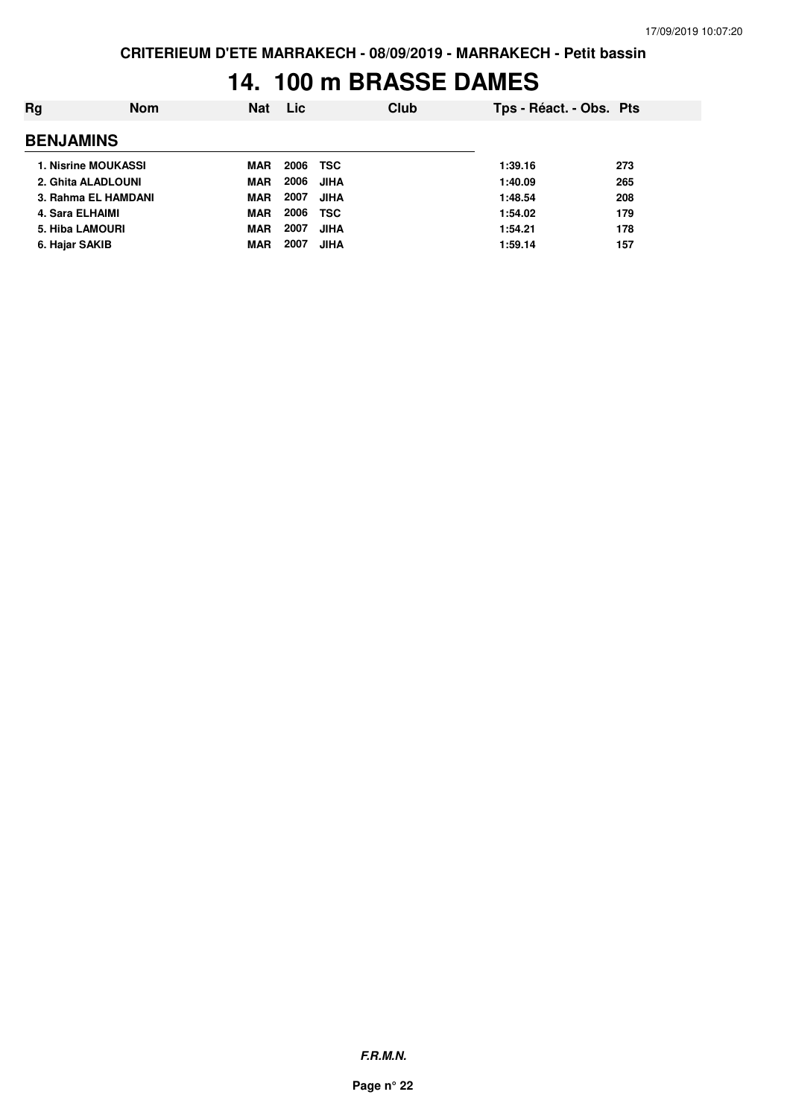### **14. 100 m BRASSE DAMES**

| Ra               | <b>Nom</b>                 | <b>Nat</b> | <b>Lic</b> | Club        | Tps - Réact. - Obs. Pts |     |
|------------------|----------------------------|------------|------------|-------------|-------------------------|-----|
| <b>BENJAMINS</b> |                            |            |            |             |                         |     |
|                  | <b>1. Nisrine MOUKASSI</b> | MAR        | 2006       | TSC         | 1:39.16                 | 273 |
|                  | 2. Ghita ALADLOUNI         | <b>MAR</b> | 2006       | JIHA        | 1:40.09                 | 265 |
|                  | 3. Rahma EL HAMDANI        | <b>MAR</b> | 2007       | <b>JIHA</b> | 1:48.54                 | 208 |
| 4. Sara ELHAIMI  |                            | <b>MAR</b> | 2006       | TSC         | 1:54.02                 | 179 |
|                  | <b>5. Hiba LAMOURI</b>     | <b>MAR</b> | 2007       | <b>JIHA</b> | 1:54.21                 | 178 |
| 6. Hajar SAKIB   |                            | <b>MAR</b> | 2007       | <b>JIHA</b> | 1:59.14                 | 157 |
|                  |                            |            |            |             |                         |     |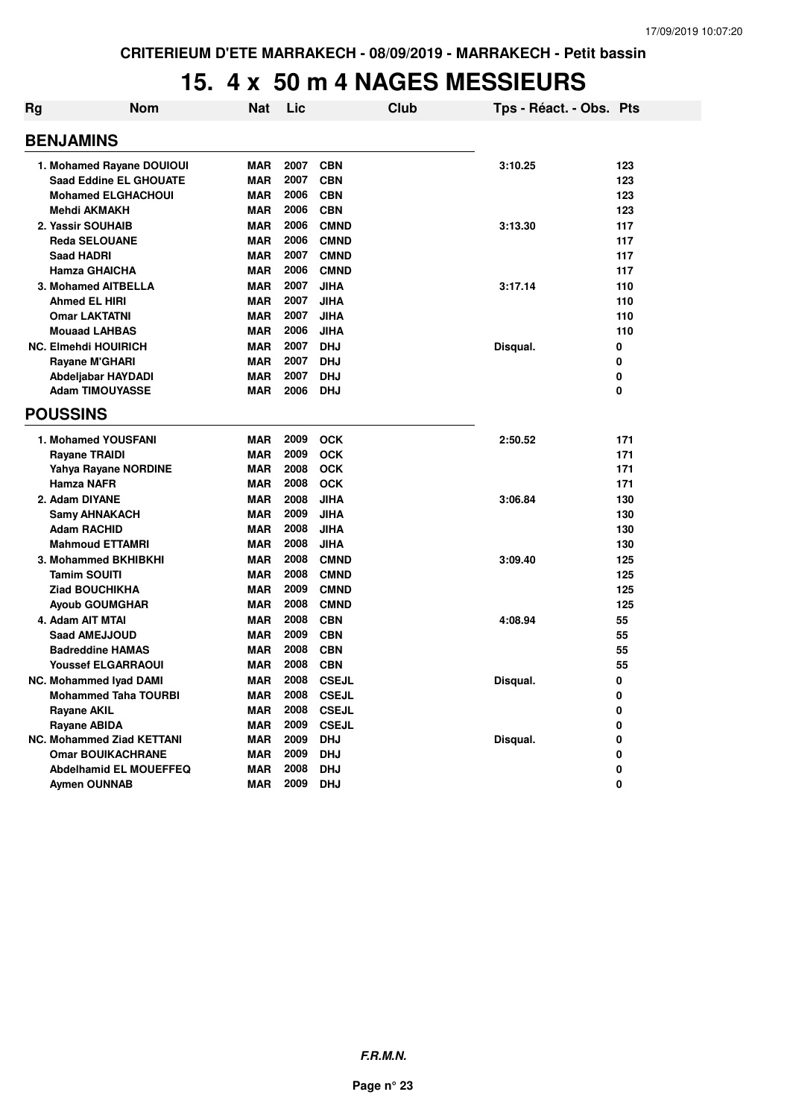#### **15. 4 x 50 m 4 NAGES MESSIEURS**

| Rg | <b>Nom</b>                       | Nat        | Lic  |              | Club | Tps - Réact. - Obs. Pts |     |
|----|----------------------------------|------------|------|--------------|------|-------------------------|-----|
|    | <b>BENJAMINS</b>                 |            |      |              |      |                         |     |
|    | 1. Mohamed Rayane DOUIOUI        | <b>MAR</b> | 2007 | <b>CBN</b>   |      | 3:10.25                 | 123 |
|    | <b>Saad Eddine EL GHOUATE</b>    | <b>MAR</b> | 2007 | <b>CBN</b>   |      |                         | 123 |
|    | <b>Mohamed ELGHACHOUI</b>        | <b>MAR</b> | 2006 | <b>CBN</b>   |      |                         | 123 |
|    | Mehdi AKMAKH                     | <b>MAR</b> | 2006 | <b>CBN</b>   |      |                         | 123 |
|    | 2. Yassir SOUHAIB                | <b>MAR</b> | 2006 | <b>CMND</b>  |      | 3:13.30                 | 117 |
|    | <b>Reda SELOUANE</b>             | <b>MAR</b> | 2006 | <b>CMND</b>  |      |                         | 117 |
|    | <b>Saad HADRI</b>                | <b>MAR</b> | 2007 | <b>CMND</b>  |      |                         | 117 |
|    | <b>Hamza GHAICHA</b>             | <b>MAR</b> | 2006 | <b>CMND</b>  |      |                         | 117 |
|    | 3. Mohamed AITBELLA              | <b>MAR</b> | 2007 | <b>JIHA</b>  |      | 3:17.14                 | 110 |
|    | <b>Ahmed EL HIRI</b>             | <b>MAR</b> | 2007 | <b>JIHA</b>  |      |                         | 110 |
|    | <b>Omar LAKTATNI</b>             | <b>MAR</b> | 2007 | <b>JIHA</b>  |      |                         | 110 |
|    | <b>Mouaad LAHBAS</b>             | <b>MAR</b> | 2006 | <b>JIHA</b>  |      |                         | 110 |
|    | <b>NC. Elmehdi HOUIRICH</b>      | <b>MAR</b> | 2007 | <b>DHJ</b>   |      | Disqual.                | 0   |
|    | Rayane M'GHARI                   | <b>MAR</b> | 2007 | <b>DHJ</b>   |      |                         | 0   |
|    | Abdeljabar HAYDADI               | <b>MAR</b> | 2007 | <b>DHJ</b>   |      |                         | 0   |
|    | <b>Adam TIMOUYASSE</b>           | <b>MAR</b> | 2006 | <b>DHJ</b>   |      |                         | 0   |
|    | <b>POUSSINS</b>                  |            |      |              |      |                         |     |
|    | 1. Mohamed YOUSFANI              | <b>MAR</b> | 2009 | <b>OCK</b>   |      | 2:50.52                 | 171 |
|    | <b>Rayane TRAIDI</b>             | <b>MAR</b> | 2009 | <b>OCK</b>   |      |                         | 171 |
|    | Yahya Rayane NORDINE             | <b>MAR</b> | 2008 | <b>OCK</b>   |      |                         | 171 |
|    | Hamza NAFR                       | <b>MAR</b> | 2008 | <b>OCK</b>   |      |                         | 171 |
|    | 2. Adam DIYANE                   | <b>MAR</b> | 2008 | <b>JIHA</b>  |      | 3:06.84                 | 130 |
|    | <b>Samy AHNAKACH</b>             | <b>MAR</b> | 2009 | <b>JIHA</b>  |      |                         | 130 |
|    | <b>Adam RACHID</b>               | <b>MAR</b> | 2008 | <b>JIHA</b>  |      |                         | 130 |
|    | <b>Mahmoud ETTAMRI</b>           | <b>MAR</b> | 2008 | <b>JIHA</b>  |      |                         | 130 |
|    | 3. Mohammed BKHIBKHI             | <b>MAR</b> | 2008 | <b>CMND</b>  |      | 3:09.40                 | 125 |
|    | <b>Tamim SOUITI</b>              | <b>MAR</b> | 2008 | <b>CMND</b>  |      |                         | 125 |
|    | <b>Ziad BOUCHIKHA</b>            | <b>MAR</b> | 2009 | <b>CMND</b>  |      |                         | 125 |
|    | <b>Ayoub GOUMGHAR</b>            | <b>MAR</b> | 2008 | <b>CMND</b>  |      |                         | 125 |
|    | 4. Adam AIT MTAI                 | <b>MAR</b> | 2008 | <b>CBN</b>   |      | 4:08.94                 | 55  |
|    | <b>Saad AMEJJOUD</b>             | <b>MAR</b> | 2009 | <b>CBN</b>   |      |                         | 55  |
|    | <b>Badreddine HAMAS</b>          | <b>MAR</b> | 2008 | <b>CBN</b>   |      |                         | 55  |
|    | <b>Youssef ELGARRAOUI</b>        | <b>MAR</b> | 2008 | <b>CBN</b>   |      |                         | 55  |
|    | <b>NC. Mohammed Ivad DAMI</b>    | <b>MAR</b> | 2008 | <b>CSEJL</b> |      | Disqual.                | 0   |
|    | <b>Mohammed Taha TOURBI</b>      | <b>MAR</b> | 2008 | <b>CSEJL</b> |      |                         | 0   |
|    | <b>Rayane AKIL</b>               | <b>MAR</b> | 2008 | <b>CSEJL</b> |      |                         | 0   |
|    | <b>Rayane ABIDA</b>              | <b>MAR</b> | 2009 | <b>CSEJL</b> |      |                         | 0   |
|    | <b>NC. Mohammed Ziad KETTANI</b> | <b>MAR</b> | 2009 | <b>DHJ</b>   |      | Disqual.                | 0   |
|    | <b>Omar BOUIKACHRANE</b>         | <b>MAR</b> | 2009 | <b>DHJ</b>   |      |                         | 0   |
|    | <b>Abdelhamid EL MOUEFFEQ</b>    | <b>MAR</b> | 2008 | <b>DHJ</b>   |      |                         | 0   |
|    | <b>Aymen OUNNAB</b>              | <b>MAR</b> | 2009 | <b>DHJ</b>   |      |                         | 0   |